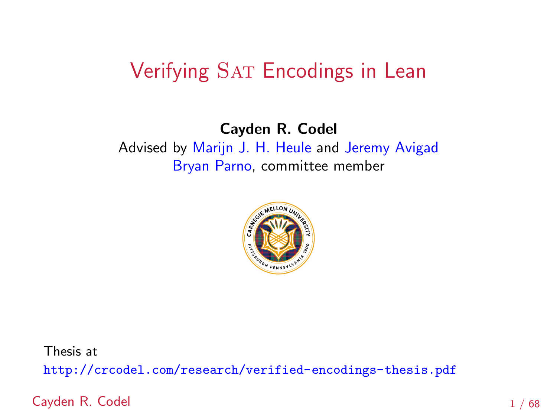### Verifying SAT Encodings in Lean

### Cayden R. Codel Advised by [Marijn J. H. Heule](http://www.cs.cmu.edu/~mheule) and [Jeremy Avigad](https://www.andrew.cmu.edu/user/avigad/) [Bryan Parno,](https://www.andrew.cmu.edu/user/bparno/) committee member



Thesis at

<http://crcodel.com/research/verified-encodings-thesis.pdf>

Cayden R. Codel 1 / 68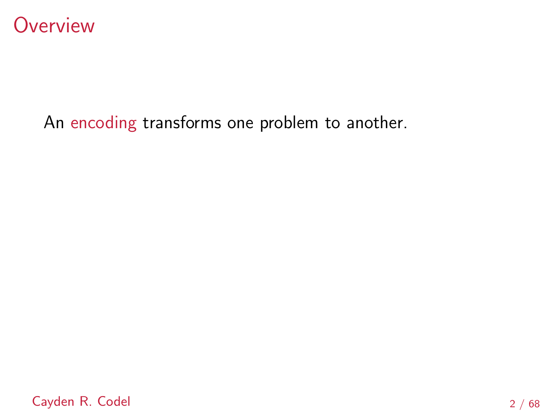

### An encoding transforms one problem to another.

Cayden R. Codel 2 / 68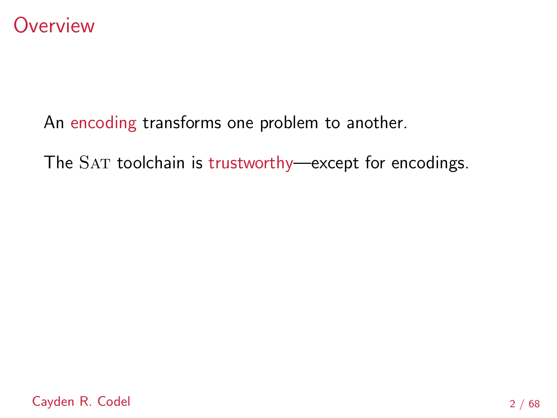

An encoding transforms one problem to another.

The SAT toolchain is trustworthy—except for encodings.

Cayden R. Codel 2 / 68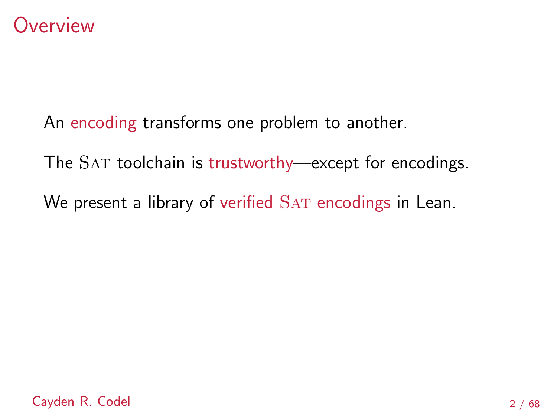

An encoding transforms one problem to another.

The SAT toolchain is trustworthy—except for encodings.

We present a library of verified SAT encodings in Lean.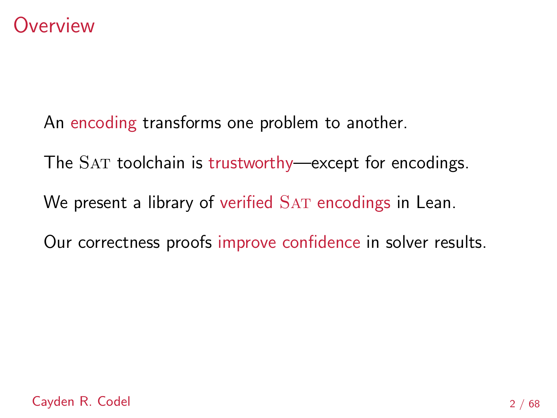### **Overview**

An encoding transforms one problem to another.

The SAT toolchain is trustworthy—except for encodings.

We present a library of verified SAT encodings in Lean.

Our correctness proofs improve confidence in solver results.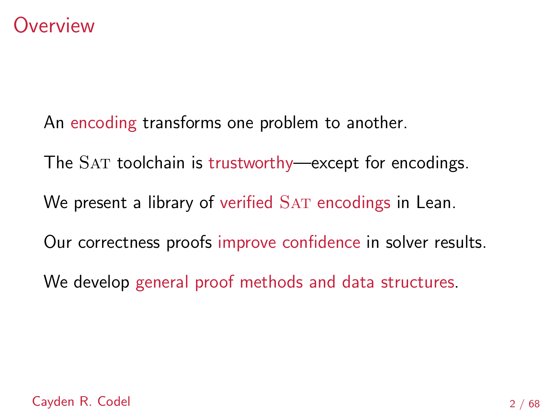### **Overview**

An encoding transforms one problem to another.

The SAT toolchain is trustworthy—except for encodings.

We present a library of verified SAT encodings in Lean.

Our correctness proofs improve confidence in solver results.

We develop general proof methods and data structures.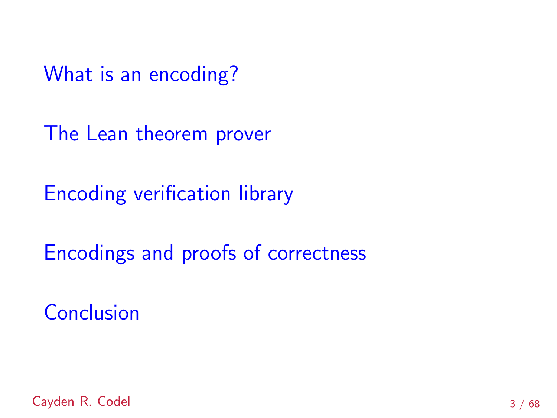[The Lean theorem prover](#page-20-0)

[Encoding verification library](#page-24-0)

[Encodings and proofs of correctness](#page-37-0)

**[Conclusion](#page-103-0)** 

Cayden R. Codel 3 / 68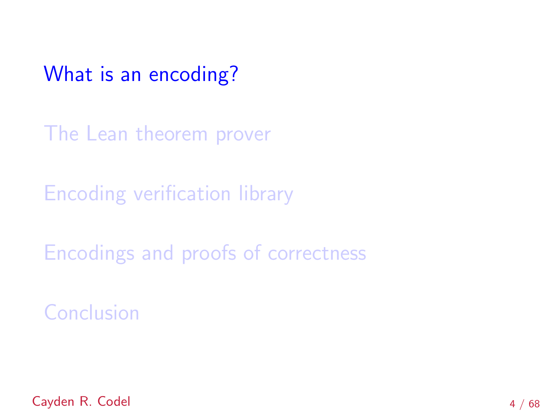<span id="page-7-0"></span>[The Lean theorem prover](#page-20-0)

[Encoding verification library](#page-24-0)

[Encodings and proofs of correctness](#page-37-0)

**[Conclusion](#page-103-0)** 

Cayden R. Codel 4 / 68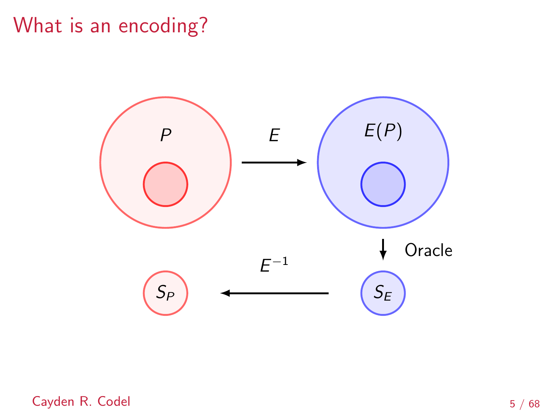

Cayden R. Codel 5 / 68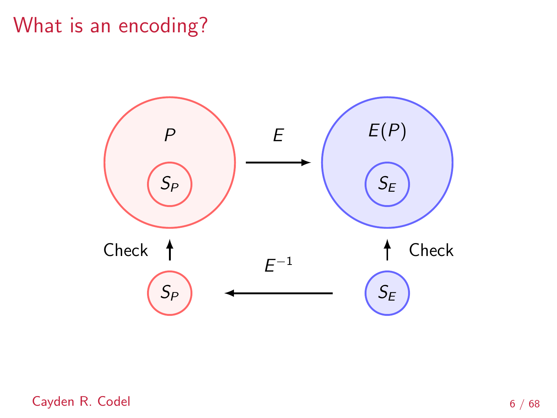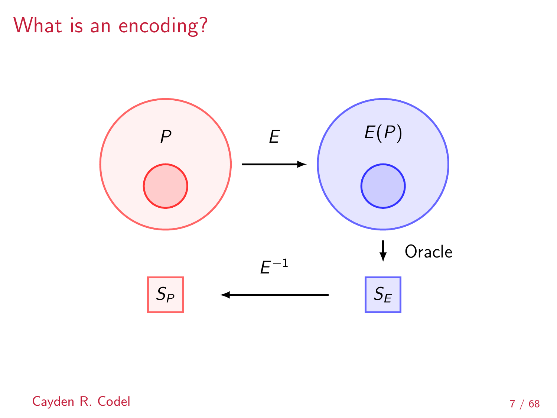

Cayden R. Codel 7 / 68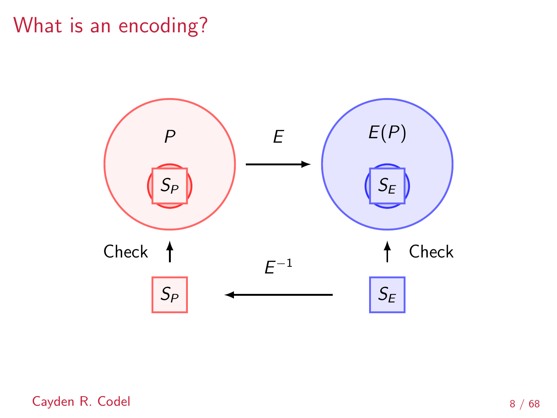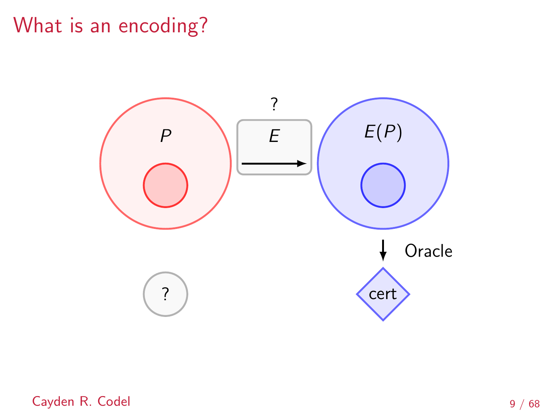

Cayden R. Codel 9 / 68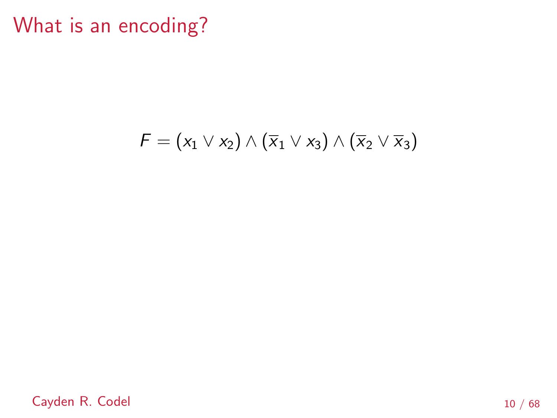## $F = (x_1 \vee x_2) \wedge (\overline{x}_1 \vee x_3) \wedge (\overline{x}_2 \vee \overline{x}_3)$

Cayden R. Codel 10 / 68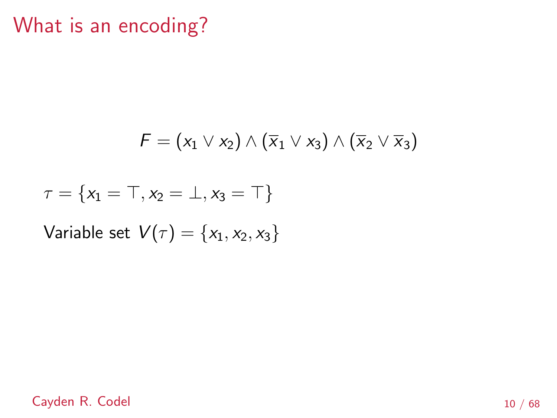$$
\digamma=(\mathsf{x}_1\vee \mathsf{x}_2)\wedge (\overline{\mathsf{x}}_1\vee \mathsf{x}_3)\wedge (\overline{\mathsf{x}}_2\vee \overline{\mathsf{x}}_3)
$$

$$
\tau=\{x_1=\top, x_2=\bot, x_3=\top\}
$$

Variable set  $V(\tau) = \{x_1, x_2, x_3\}$ 

Cayden R. Codel 10 / 68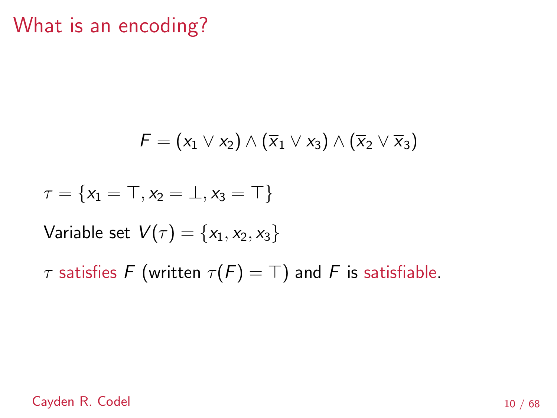$$
\digamma=(\mathsf{x}_1\vee \mathsf{x}_2)\wedge (\overline{\mathsf{x}}_1\vee \mathsf{x}_3)\wedge (\overline{\mathsf{x}}_2\vee \overline{\mathsf{x}}_3)
$$

$$
\tau=\{x_1=\top, x_2=\bot, x_3=\top\}
$$

Variable set  $V(\tau) = \{x_1, x_2, x_3\}$ 

 $\tau$  satisfies F (written  $\tau(F) = \top$ ) and F is satisfiable.

Cayden R. Codel 10 / 68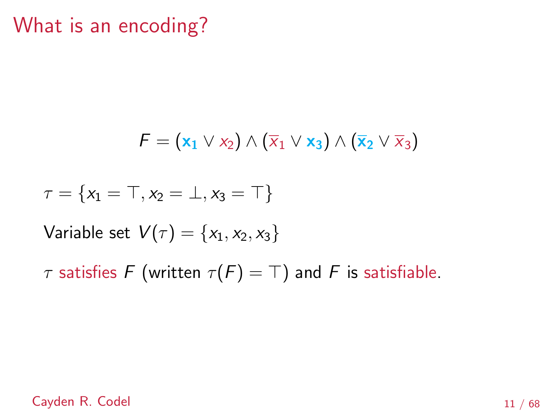$$
\digamma = (\mathbf{x}_1 \vee \mathbf{x}_2) \wedge (\overline{\mathbf{x}}_1 \vee \mathbf{x}_3) \wedge (\overline{\mathbf{x}}_2 \vee \overline{\mathbf{x}}_3)
$$

$$
\tau=\{x_1=\top, x_2=\bot, x_3=\top\}
$$

Variable set  $V(\tau) = \{x_1, x_2, x_3\}$ 

 $\tau$  satisfies F (written  $\tau(F) = \top$ ) and F is satisfiable.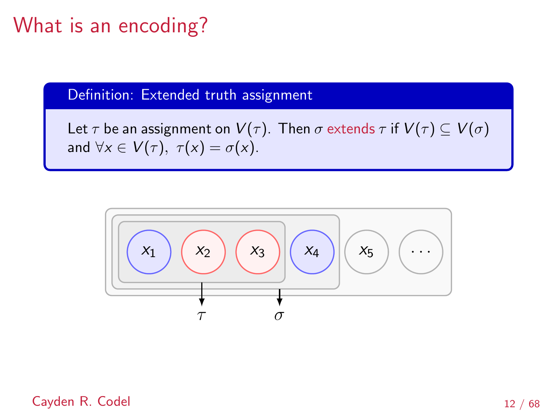Definition: Extended truth assignment

Let  $\tau$  be an assignment on  $V(\tau)$ . Then  $\sigma$  extends  $\tau$  if  $V(\tau) \subseteq V(\sigma)$ and  $\forall x \in V(\tau)$ ,  $\tau(x) = \sigma(x)$ .

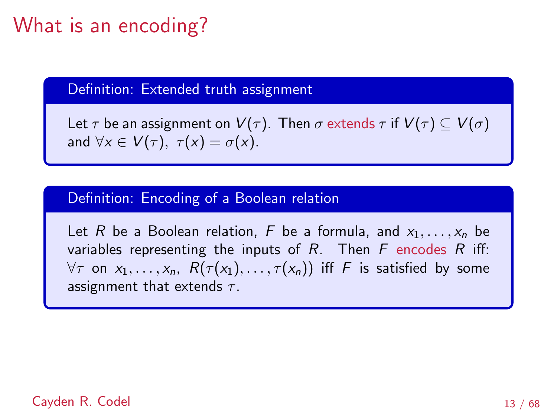Definition: Extended truth assignment

Let  $\tau$  be an assignment on  $V(\tau)$ . Then  $\sigma$  extends  $\tau$  if  $V(\tau) \subset V(\sigma)$ and  $\forall x \in V(\tau)$ ,  $\tau(x) = \sigma(x)$ .

#### Definition: Encoding of a Boolean relation

Let R be a Boolean relation, F be a formula, and  $x_1, \ldots, x_n$  be variables representing the inputs of  $R$ . Then  $F$  encodes  $R$  iff:  $\forall \tau$  on  $x_1, \ldots, x_n$ ,  $R(\tau(x_1), \ldots, \tau(x_n))$  iff F is satisfied by some assignment that extends  $\tau$ .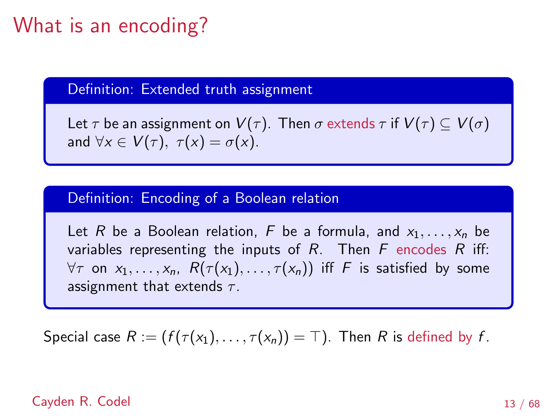Definition: Extended truth assignment

Let  $\tau$  be an assignment on  $V(\tau)$ . Then  $\sigma$  extends  $\tau$  if  $V(\tau) \subset V(\sigma)$ and  $\forall x \in V(\tau)$ ,  $\tau(x) = \sigma(x)$ .

#### Definition: Encoding of a Boolean relation

Let R be a Boolean relation, F be a formula, and  $x_1, \ldots, x_n$  be variables representing the inputs of  $R$ . Then  $F$  encodes  $R$  iff:  $\forall \tau$  on  $x_1, \ldots, x_n$ ,  $R(\tau(x_1), \ldots, \tau(x_n))$  iff F is satisfied by some assignment that extends  $\tau$ .

Special case  $R := (f(\tau(x_1), \ldots, \tau(x_n)) = \top)$ . Then R is defined by f.

#### Cayden R. Codel 2002 13 / 68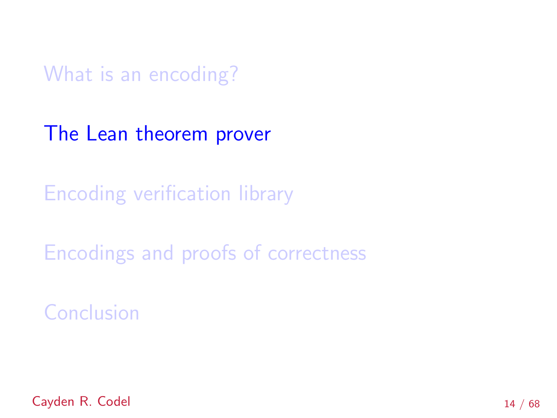<span id="page-20-0"></span>[The Lean theorem prover](#page-20-0)

[Encoding verification library](#page-24-0)

[Encodings and proofs of correctness](#page-37-0)

**[Conclusion](#page-103-0)** 

Cayden R. Codel 14 / 68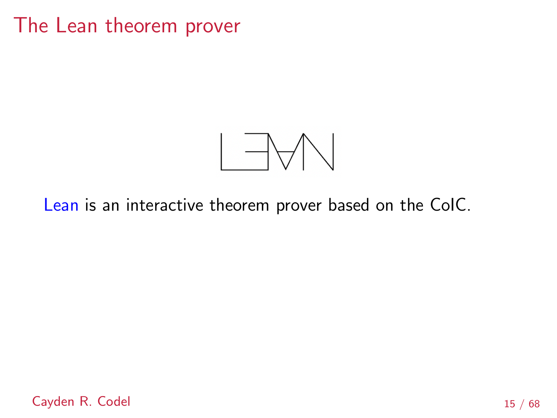### The Lean theorem prover



### [Lean](https://leanprover.github.io/about/) is an interactive theorem prover based on the CoIC.

Cayden R. Codel 15 / 68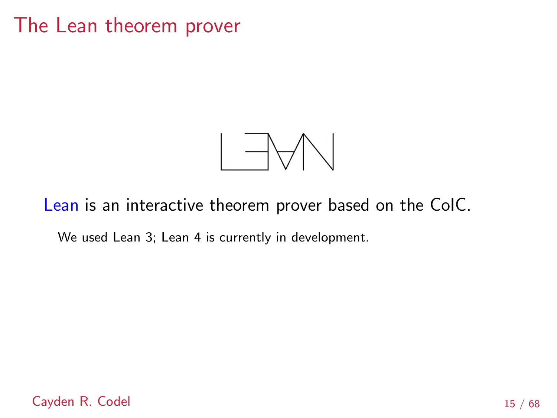### The Lean theorem prover



### [Lean](https://leanprover.github.io/about/) is an interactive theorem prover based on the CoIC.

We used Lean 3; Lean 4 is currently in development.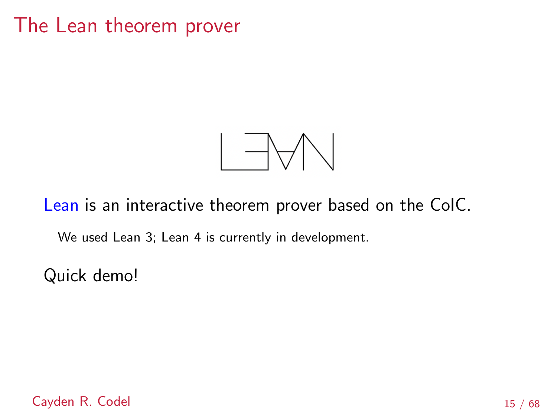## The Lean theorem prover



[Lean](https://leanprover.github.io/about/) is an interactive theorem prover based on the CoIC.

We used Lean 3; Lean 4 is currently in development.

Quick demo!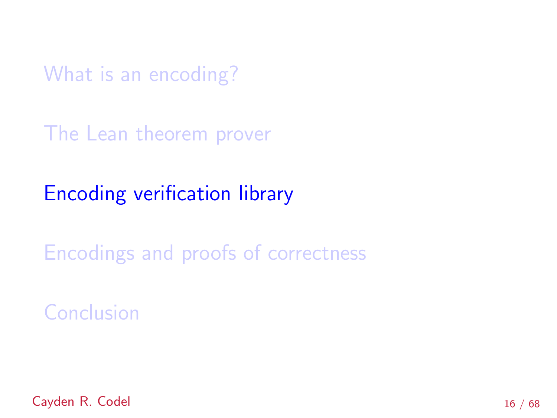<span id="page-24-0"></span>[The Lean theorem prover](#page-20-0)

# [Encoding verification library](#page-24-0)

[Encodings and proofs of correctness](#page-37-0)

**[Conclusion](#page-103-0)** 

Cayden R. Codel 16 / 68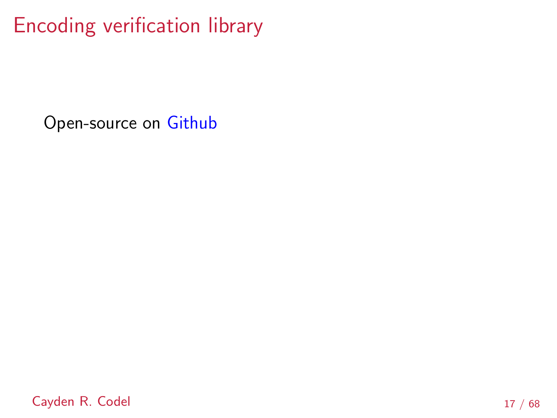Open-source on [Github](https://github.com/ccodel/verified-encodings)

Cayden R. Codel 17 / 68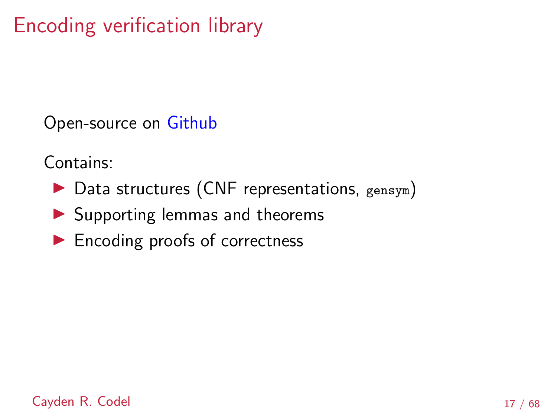Open-source on [Github](https://github.com/ccodel/verified-encodings)

Contains:

- $\triangleright$  Data structures (CNF representations, gensym)
- ▶ Supporting lemmas and theorems
- ▶ Encoding proofs of correctness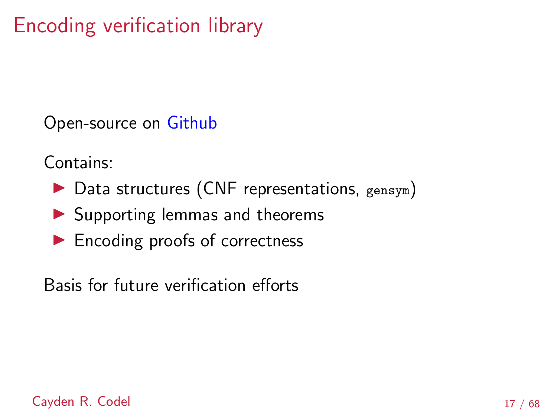Open-source on [Github](https://github.com/ccodel/verified-encodings)

Contains:

- $\triangleright$  Data structures (CNF representations, gensym)
- ▶ Supporting lemmas and theorems
- ▶ Encoding proofs of correctness

Basis for future verification efforts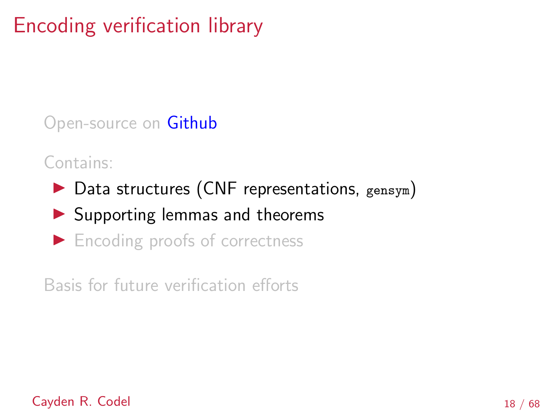Open-source on [Github](https://github.com/ccodel/verified-encodings)

Contains:

- $\triangleright$  Data structures (CNF representations, gensym)
- ▶ Supporting lemmas and theorems
- ▶ Encoding proofs of correctness

Basis for future verification efforts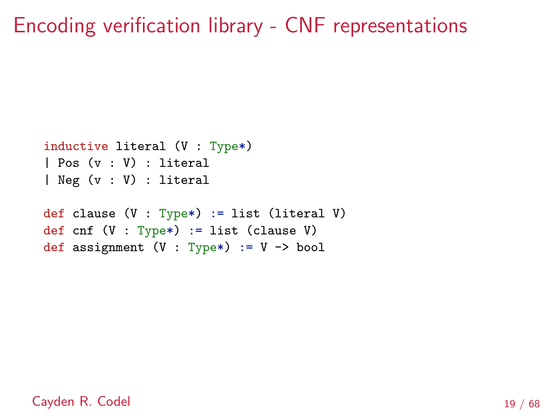### Encoding verification library - CNF representations

```
inductive literal (V : Type*)
| Pos (v : V) : literal
| Neg (v : V) : literal
def clause (V : Type*) := list (literal V)
def cnf (V : Type*) := list (clause V)def assignment (V : Type*) := V \rightarrow bool
```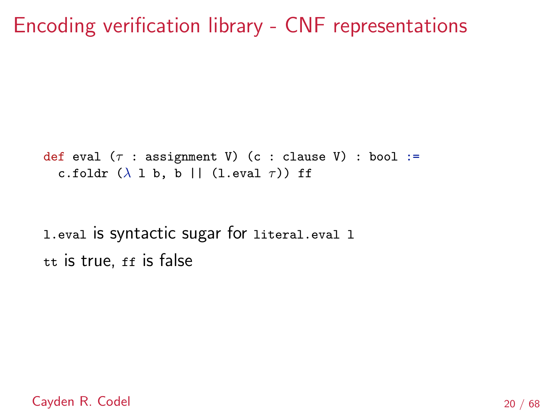Encoding verification library - CNF representations

def eval  $(\tau : \text{assignment V})$  (c : clause V) : bool := c.foldr  $(\lambda \ 1 \ b, \ b \ || \ (1 \ even \ \tau))$  ff

l.eval is syntactic sugar for literal.eval l tt is true, ff is false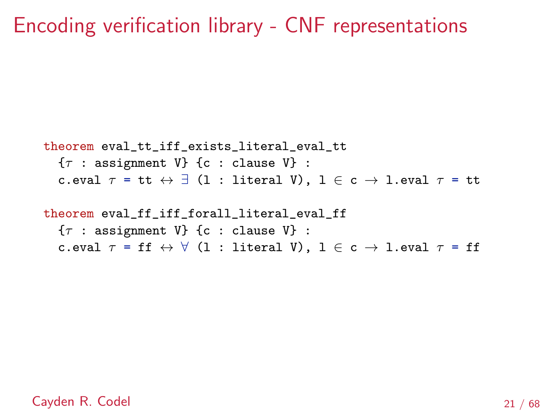### Encoding verification library - CNF representations

```
theorem eval_tt_iff_exists_literal_eval_tt
   \{\tau : \text{assignment } V\} {c : clause V} :
   c.eval \tau = \text{tt} \leftrightarrow \exists (1 : literal V), 1 \in \text{c} \to 1.eval \tau = \text{tt}
```

```
theorem eval_ff_iff_forall_literal_eval_ff
   \{\tau : \text{assignment } V\} {c : clause V} :
   c.eval \tau = \text{ff} \leftrightarrow \forall (1 : literal V), 1 \in \text{c} \to 1.eval \tau = \text{ff}
```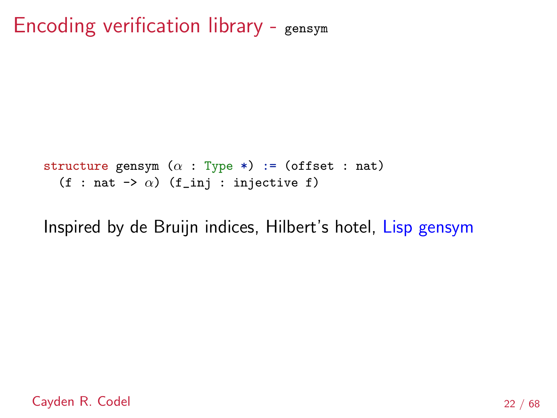```
structure gensym (\alpha : Type * ) := (offset : nat)(f : nat \rightarrow \alpha) (f_inj : injective f)
```
Inspired by de Bruijn indices, Hilbert's hotel, [Lisp gensym](https://franz.com/support/documentation/10.1/ansicl/dictentr/gensym.htm)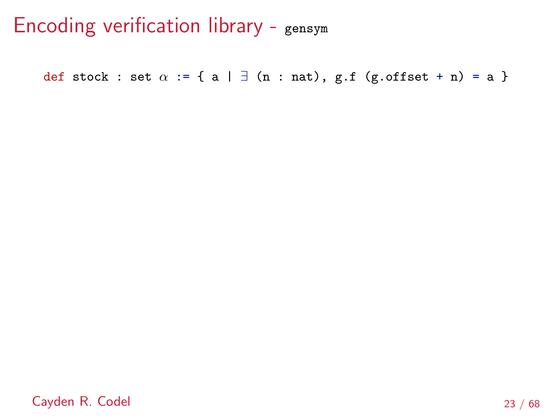def stock : set  $\alpha$  := { a |  $\exists$  (n : nat), g.f (g.offset + n) = a }

Cayden R. Codel 23 / 68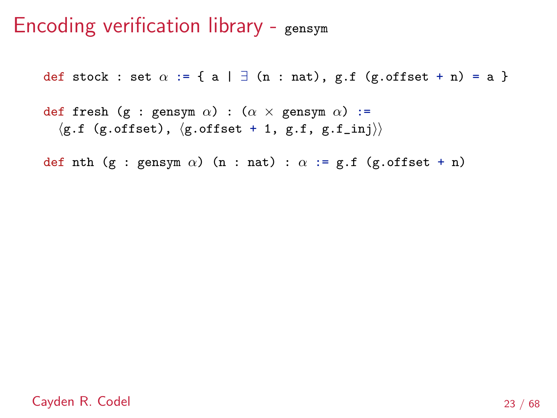def stock : set  $\alpha$  := { a |  $\exists$  (n : nat), g.f (g.offset + n) = a }

def fresh (g : gensym  $\alpha$ ) : ( $\alpha \times$  gensym  $\alpha$ ) :=  $\langle$ g.f (g.offset),  $\langle$ g.offset + 1, g.f, g.f\_inj $\rangle\rangle$ 

def nth (g : gensym  $\alpha$ ) (n : nat) :  $\alpha$  := g.f (g.offset + n)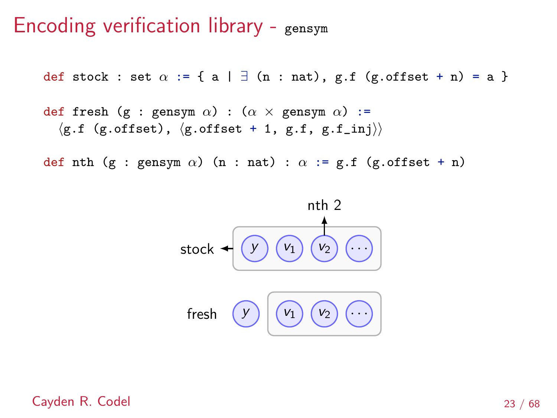def stock : set  $\alpha$  := { a |  $\exists$  (n : nat), g.f (g.offset + n) = a }

```
def fresh (g : gensym \alpha) : (\alpha \times gensym \alpha) :=
   \langleg.f (g.offset), \langleg.offset + 1, g.f, g.f_inj\rangle\rangle
```
def nth (g : gensym  $\alpha$ ) (n : nat) :  $\alpha$  := g.f (g.offset + n)



Cayden R. Codel 23 / 68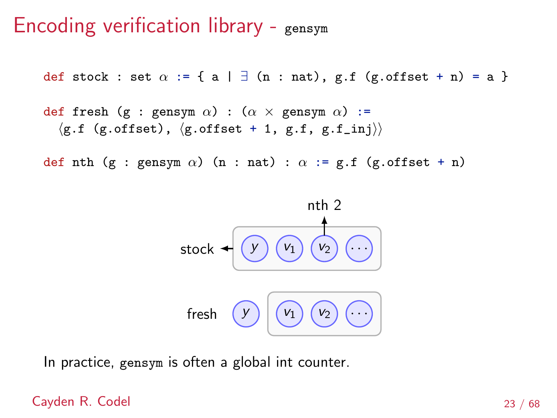## Encoding verification library - gensym

def stock : set  $\alpha$  := { a |  $\exists$  (n : nat), g.f (g.offset + n) = a }

```
def fresh (g : gensym \alpha) : (\alpha \times gensym \alpha) :=
  \langleg.f (g.offset), \langleg.offset + 1, g.f, g.f_inj\rangle)
```
def nth (g : gensym  $\alpha$ ) (n : nat) :  $\alpha$  := g.f (g.offset + n)



In practice, gensym is often a global int counter.

#### Cayden R. Codel 23 / 68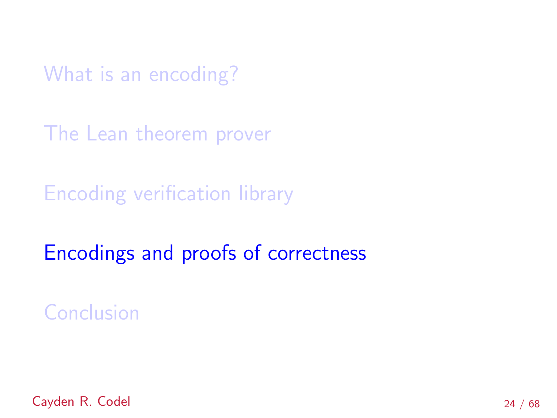<span id="page-37-0"></span>[What is an encoding?](#page-7-0)

[The Lean theorem prover](#page-20-0)

[Encoding verification library](#page-24-0)

[Encodings and proofs of correctness](#page-37-0)

**[Conclusion](#page-103-0)** 

Cayden R. Codel 24 / 68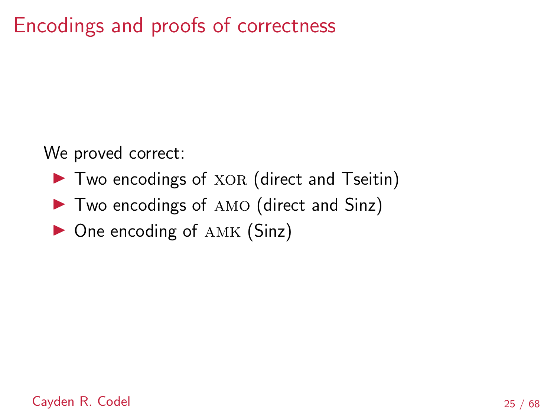# Encodings and proofs of correctness

We proved correct:

- ▶ Two encodings of XOR (direct and Tseitin)
- ▶ Two encodings of AMO (direct and Sinz)
- ▶ One encoding of AMK (Sinz)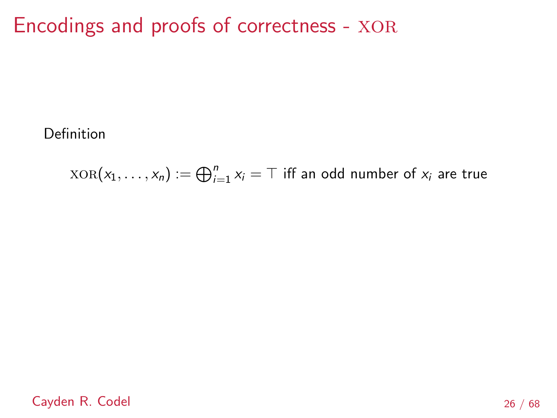Definition

 $\text{XOR}(x_1, \ldots, x_n) := \bigoplus_{i=1}^n x_i = \top$  iff an odd number of  $x_i$  are true

Cayden R. Codel 26 / 68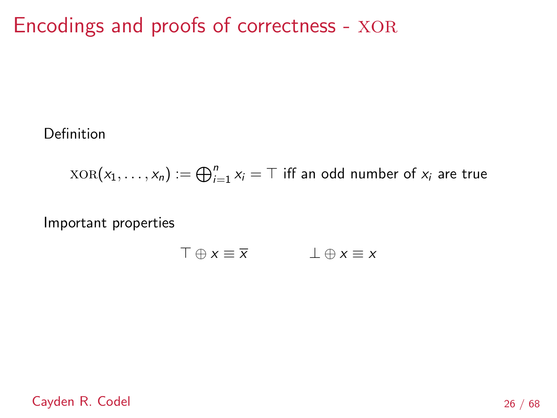Definition

$$
XOR(x_1, \ldots, x_n) := \bigoplus_{i=1}^n x_i = T
$$
 iff an odd number of  $x_i$  are true

Important properties

$$
\top \oplus x \equiv \overline{x} \qquad \qquad \bot \oplus x \equiv x
$$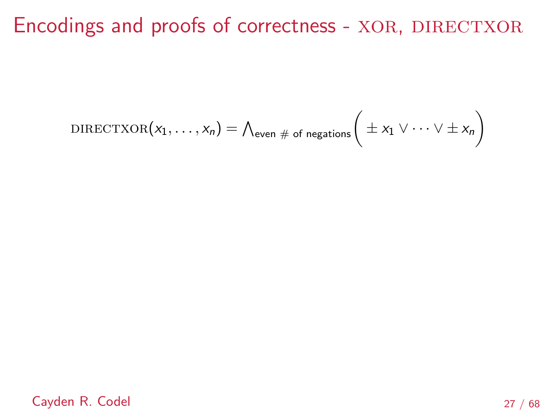$$
\text{DIRECTXOR}(x_1,\ldots,x_n) = \bigwedge_{\text{even }\# \text{ of negations}} \bigg(\pm x_1 \vee \cdots \vee \pm x_n\bigg)
$$

Cayden R. Codel 27 / 68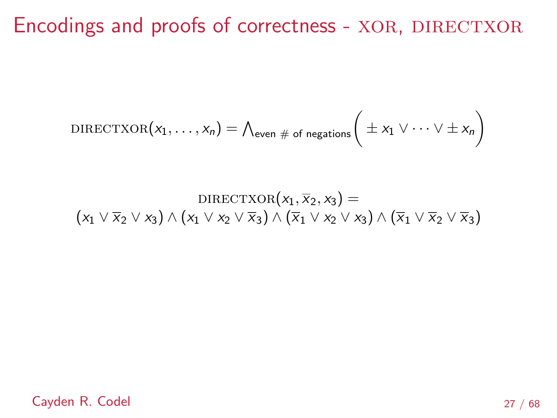$$
\text{DIRECTXOR}(x_1,\ldots,x_n) = \bigwedge_{\text{even }\# \text{ of negations}} \bigg(\pm x_1 \vee \cdots \vee \pm x_n\bigg)
$$

$$
\text{DIRECTXOR}(x_1, \overline{x}_2, x_3) = \\ (x_1 \vee \overline{x}_2 \vee x_3) \wedge (x_1 \vee x_2 \vee \overline{x}_3) \wedge (\overline{x}_1 \vee x_2 \vee x_3) \wedge (\overline{x}_1 \vee \overline{x}_2 \vee \overline{x}_3)
$$

Cayden R. Codel 27 / 68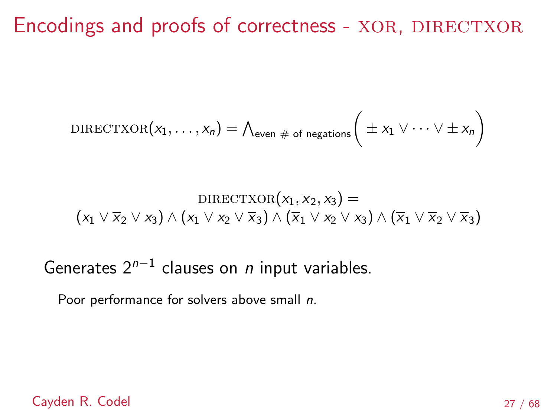$$
\text{DIRECTXOR}(x_1,\ldots,x_n) = \bigwedge_{\text{even } \# \text{ of negations}} \bigg( \pm x_1 \vee \cdots \vee \pm x_n \bigg)
$$

$$
\text{DIRECTXOR}(x_1, \overline{x}_2, x_3) = \\ (x_1 \vee \overline{x}_2 \vee x_3) \wedge (x_1 \vee x_2 \vee \overline{x}_3) \wedge (\overline{x}_1 \vee x_2 \vee x_3) \wedge (\overline{x}_1 \vee \overline{x}_2 \vee \overline{x}_3)
$$

Generates  $2^{n-1}$  clauses on *n* input variables.

Poor performance for solvers above small n.

Cayden R. Codel 27 / 68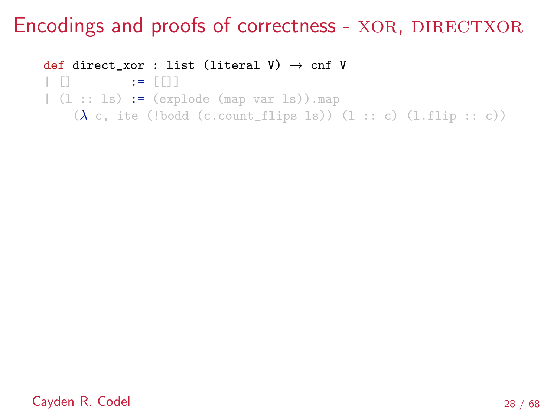def direct\_xor : list (literal V)  $\rightarrow$  cnf V | [] := [[]]  $(1:: 1s) := (expnode (map var 1s)) . map$  $(\lambda \ c, i\text{te}$  (!bodd (c.count\_flips ls)) (l :: c) (l.flip :: c))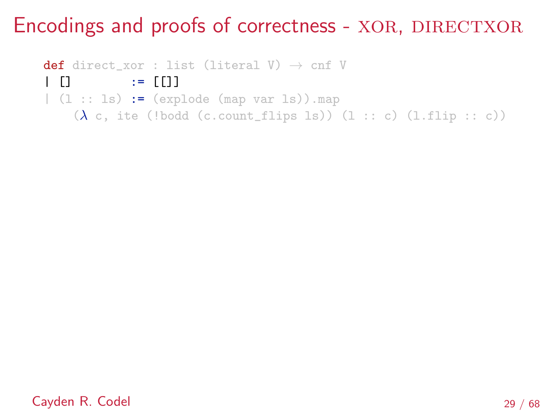def direct\_xor : list (literal V)  $\rightarrow$  cnf V | [] := [[]]  $|(1::1s)| := (explode (map var 1s)) . map$  $(\lambda \ c, i\text{te}$  (!bodd (c.count\_flips ls)) (l :: c) (l.flip :: c))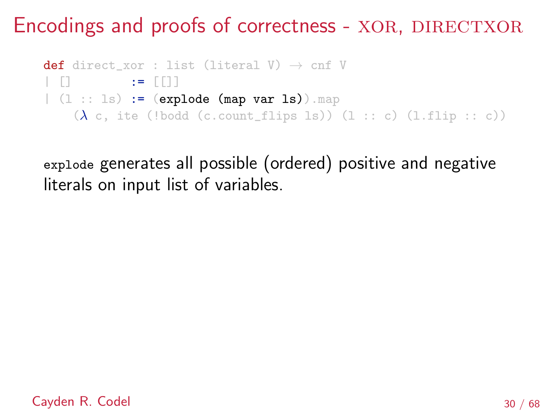```
def direct_xor : list (literal V) \rightarrow cnf V
| \ \ \ [ \ \ \ ] := [ \ \ ]|(1::1s)| := (explode (map var 1s)).map
    (\lambda \ c, i\text{te} (!bodd (c.count_flips ls)) (l :: c) (l.flip :: c))
```
explode generates all possible (ordered) positive and negative literals on input list of variables.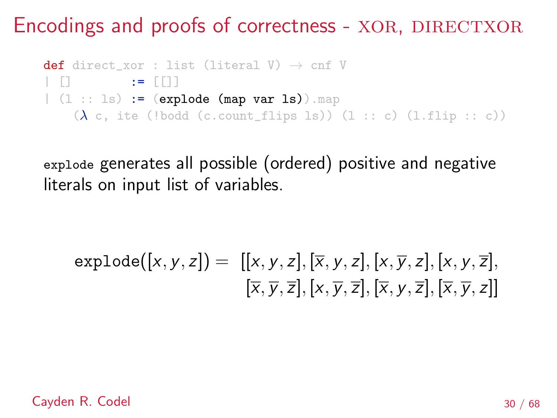```
def direct_xor : list (literal V) \rightarrow cnf V
| \ \ \ [ \ \ \ ] := [ \ \ ]|(1::1s)| := (explode (map var 1s)).map
    (\lambda \ c, i\text{te} (!bodd (c.count_flips ls)) (l :: c) (l.flip :: c))
```
explode generates all possible (ordered) positive and negative literals on input list of variables.

$$
\texttt{explode}([x,y,z]) = [[x,y,z],[\overline{x},y,z],[x,\overline{y},z],[x,y,\overline{z}],\\ [\overline{x},\overline{y},\overline{z}],[x,\overline{y},\overline{z}],[\overline{x},y,\overline{z}],[\overline{x},\overline{y},z]]
$$

Cayden R. Codel 30 / 68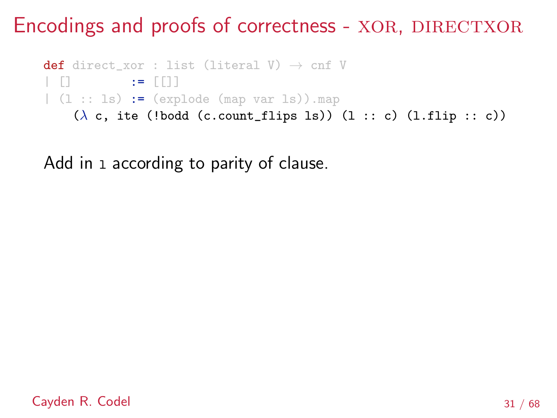```
def direct_xor : list (literal V) \rightarrow cnf V
| [] := [[]]
(1:: 1s) := (explode (map var 1s)) . map(\lambda c, ite (!bodd (c.count_flips ls)) (l :: c) (l.flip :: c))
```
Add in 1 according to parity of clause.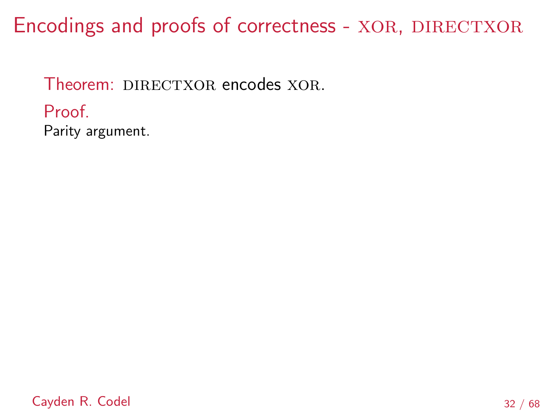Theorem: DIRECTXOR encodes XOR. Proof. Parity argument.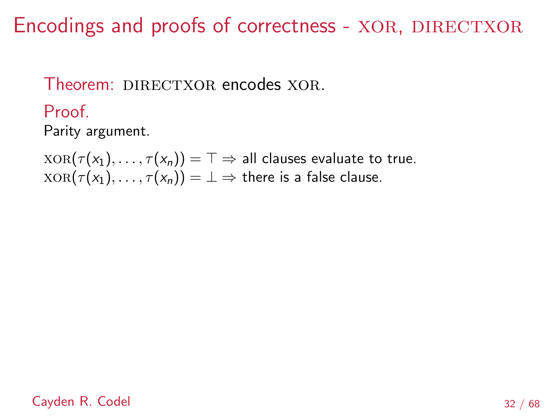### Theorem: DIRECTXOR encodes XOR

Proof.

Parity argument.

 $XOR(\tau(x_1), \ldots, \tau(x_n)) = \top \Rightarrow$  all clauses evaluate to true.  $XOR(\tau(x_1), \ldots, \tau(x_n)) = \bot \Rightarrow$  there is a false clause.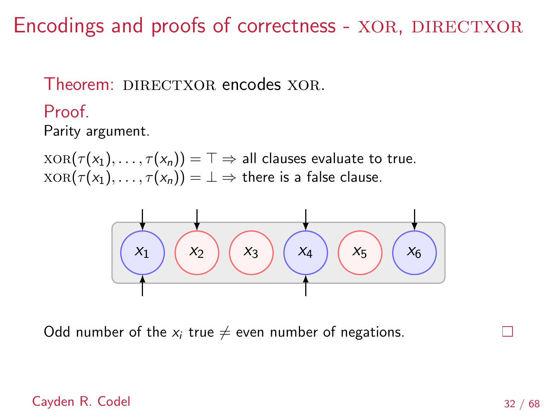Theorem: DIRECTXOR encodes XOR

Proof.

Parity argument.

 $XOR(\tau(x_1), \ldots, \tau(x_n)) = \top \Rightarrow$  all clauses evaluate to true.  $XOR(\tau(x_1), \ldots, \tau(x_n)) = \bot \Rightarrow$  there is a false clause.



Odd number of the  $x_i$  true  $\neq$  even number of negations.

#### Cayden R. Codel 32 / 68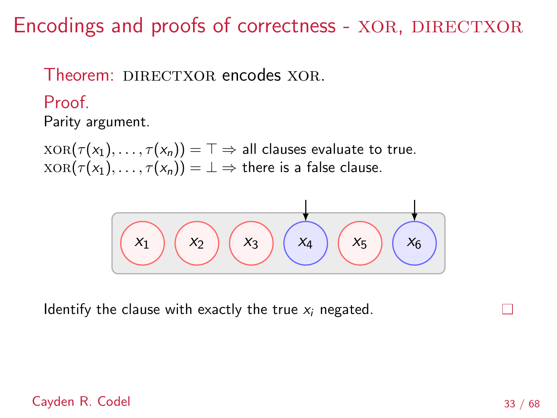### Theorem: DIRECTXOR encodes XOR.

Proof.

Parity argument.

 $XOR(\tau(x_1), \ldots, \tau(x_n)) = \top \Rightarrow$  all clauses evaluate to true.  $XOR(\tau(x_1), \ldots, \tau(x_n)) = \bot \Rightarrow$  there is a false clause.



Identify the clause with exactly the true  $x_i$  negated.

#### Cayden R. Codel 33 / 68

П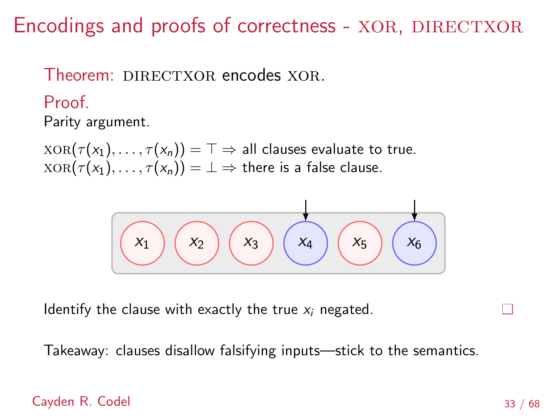### Theorem: DIRECTXOR encodes XOR.

Proof.

Parity argument.

 $XOR(\tau(x_1), \ldots, \tau(x_n)) = \top \Rightarrow$  all clauses evaluate to true.  $XOR(\tau(x_1), \ldots, \tau(x_n)) = \bot \Rightarrow$  there is a false clause.



Identify the clause with exactly the true  $x_i$  negated.

Takeaway: clauses disallow falsifying inputs—stick to the semantics.

#### Cayden R. Codel 33 / 68

П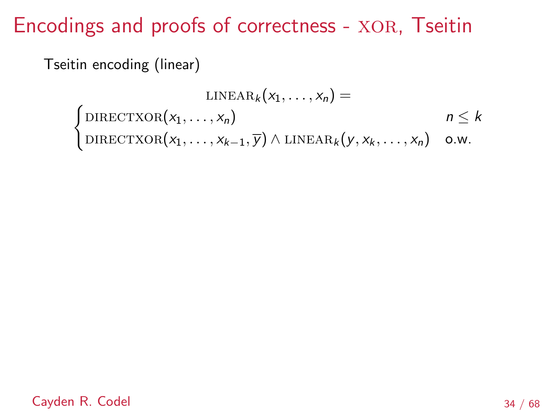Tseitin encoding (linear)

$$
\text{LINEAR}_k(x_1, \ldots, x_n) =
$$
\n
$$
\begin{cases}\n\text{DIRECTXOR}(x_1, \ldots, x_n) & n \leq k \\
\text{DIRECTXOR}(x_1, \ldots, x_{k-1}, \overline{y}) \land \text{LINEAR}_k(y, x_k, \ldots, x_n) & \text{o.w.}\n\end{cases}
$$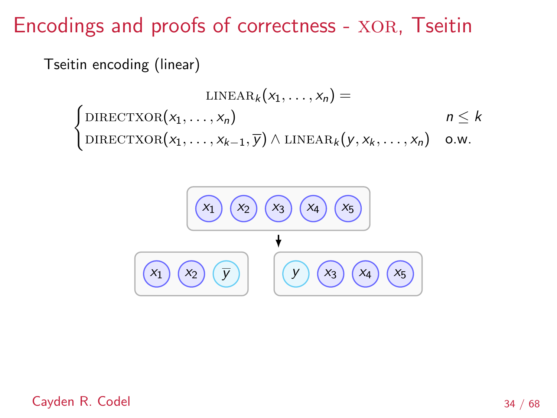Tseitin encoding (linear)

$$
\text{LINEAR}_k(x_1, \ldots, x_n) =
$$
\n
$$
\begin{cases}\n\text{DIRECTXOR}(x_1, \ldots, x_n) & n \leq k \\
\text{DIRECTXOR}(x_1, \ldots, x_{k-1}, \overline{y}) \land \text{LINEAR}_k(y, x_k, \ldots, x_n) & \text{o.w.}\n\end{cases}
$$



Cayden R. Codel 34 / 68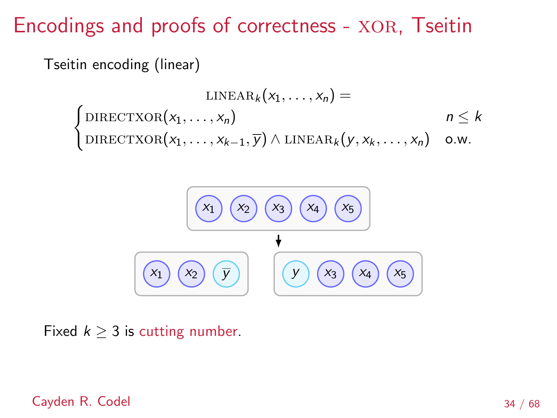Tseitin encoding (linear)

$$
\text{LINEAR}_k(x_1, \ldots, x_n) =
$$
\n
$$
\begin{cases}\n\text{DIRECTXOR}(x_1, \ldots, x_n) & n \leq k \\
\text{DIRECTXOR}(x_1, \ldots, x_{k-1}, \overline{y}) \land \text{LINEAR}_k(y, x_k, \ldots, x_n) & \text{o.w.}\n\end{cases}
$$



Fixed  $k \geq 3$  is cutting number.

Cayden R. Codel 34 / 68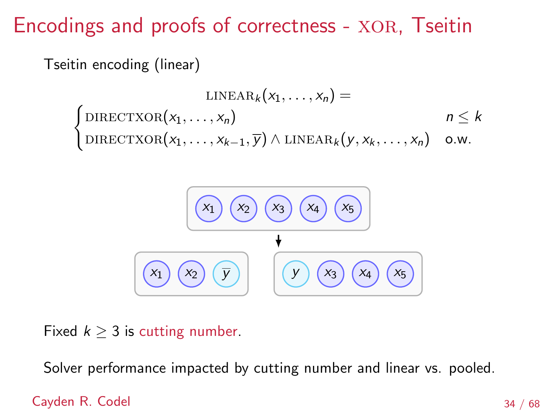Tseitin encoding (linear)

$$
\text{LINEAR}_k(x_1, \ldots, x_n) =
$$
\n
$$
\begin{cases}\n\text{DIRECTXOR}(x_1, \ldots, x_n) & n \leq k \\
\text{DIRECTXOR}(x_1, \ldots, x_{k-1}, \overline{y}) \land \text{LINEAR}_k(y, x_k, \ldots, x_n) & \text{o.w.}\n\end{cases}
$$



Fixed  $k > 3$  is cutting number.

Solver performance impacted by cutting number and linear vs. pooled.

#### Cayden R. Codel 34 / 68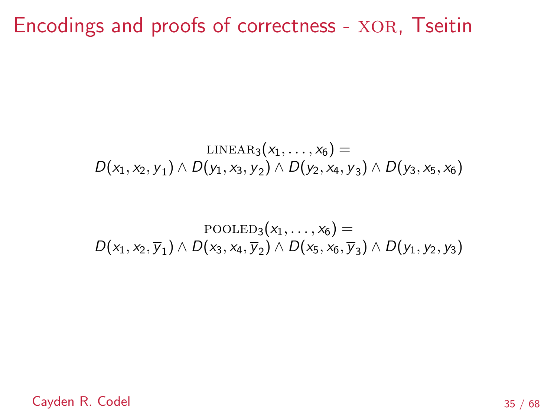$$
\text{LINEAR}_3(x_1,\ldots,x_6) = \\ D(x_1,x_2,\overline{y}_1) \wedge D(y_1,x_3,\overline{y}_2) \wedge D(y_2,x_4,\overline{y}_3) \wedge D(y_3,x_5,x_6)
$$

$$
\text{POOLED}_3(x_1,\ldots,x_6) = \\ D(x_1,x_2,\overline{y}_1) \wedge D(x_3,x_4,\overline{y}_2) \wedge D(x_5,x_6,\overline{y}_3) \wedge D(y_1,y_2,y_3)
$$

Cayden R. Codel  $35 / 68$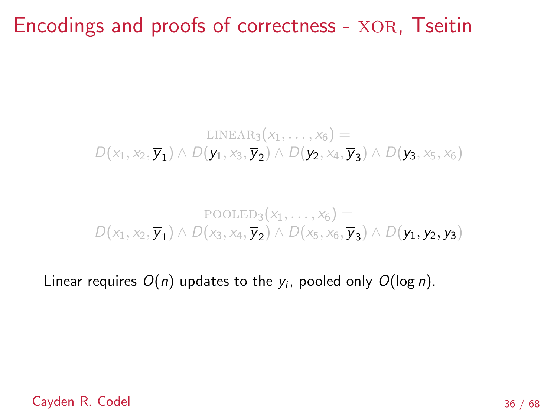$$
\text{LINEAR}_3(x_1,\ldots,x_6) = \\ D(x_1,x_2,\overline{\mathbf{y_1}}) \wedge D(\mathbf{y_1},x_3,\overline{\mathbf{y_2}}) \wedge D(\mathbf{y_2},x_4,\overline{\mathbf{y_3}}) \wedge D(\mathbf{y_3},x_5,x_6)
$$

### $\text{POOLED}_3(x_1, \ldots, x_6) =$  $D(x_1, x_2, \overline{y_1}) \wedge D(x_3, x_4, \overline{y_2}) \wedge D(x_5, x_6, \overline{y_3}) \wedge D(y_1, y_2, y_3)$

Linear requires  $O(n)$  updates to the  $y_i$ , pooled only  $O(\log n)$ .

#### Cayden R. Codel 36 / 68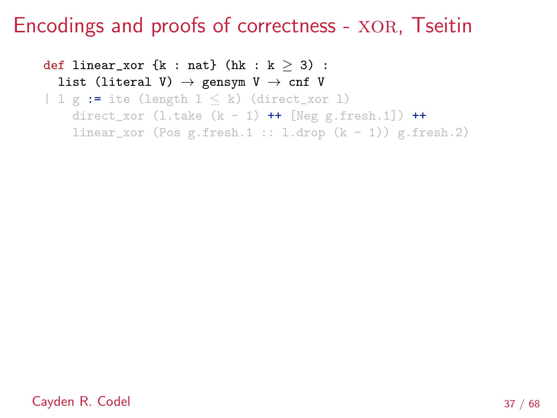def linear\_xor {k : nat} (hk : k  $\geq$  3) : list (literal V)  $\rightarrow$  gensym V  $\rightarrow$  cnf V |  $l \ g := ite$  (length  $l \leq k$ ) (direct\_xor 1) direct\_xor  $(l.\text{take } (k - 1)$  ++ [Neg g.fresh.1]) ++ linear\_xor (Pos g.fresh.1 :: l.drop  $(k - 1)$ ) g.fresh.2)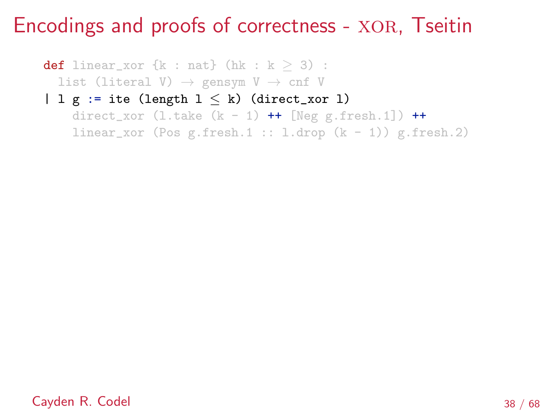**def** linear\_xor  $\{k : nat\}$  (hk :  $k \geq 3$ ) : list (literal V)  $\rightarrow$  gensym V  $\rightarrow$  cnf V |  $l$  g := ite (length  $l \leq k$ ) (direct\_xor 1) direct\_xor  $(l.\text{take } (k - 1)$  ++ [Neg g.fresh.1]) ++ linear\_xor (Pos g.fresh.1 :: l.drop  $(k - 1)$ ) g.fresh.2)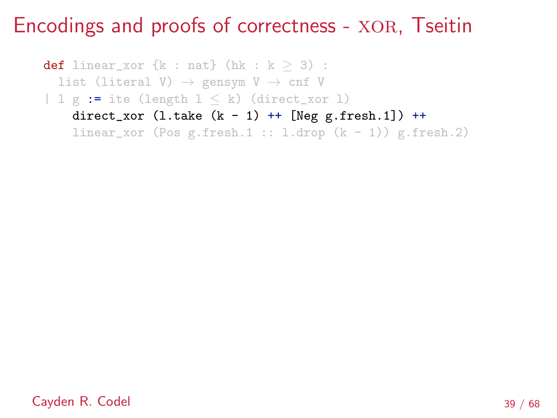**def** linear\_xor  $\{k : nat\}$  (hk :  $k \geq 3$ ) : list (literal V)  $\rightarrow$  gensym V  $\rightarrow$  cnf V | 1 g := ite (length  $1 \le k$ ) (direct\_xor 1) direct\_xor  $(l.\text{take } (k - 1)$  ++  $[Neg g.fresh.1])$  ++ linear\_xor (Pos g.fresh.1 :: l.drop  $(k - 1)$ ) g.fresh.2)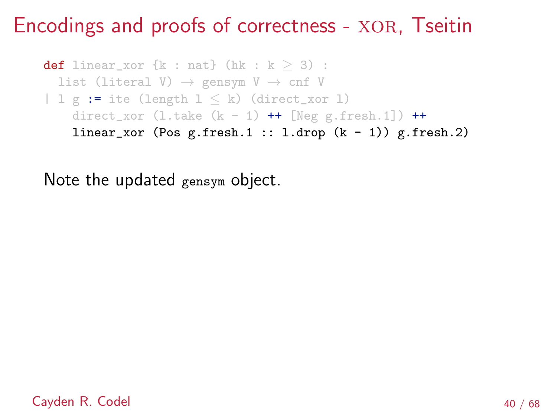def linear\_xor  $\{k : nat\}$  (hk :  $k > 3$ ) : list (literal V)  $\rightarrow$  gensym V  $\rightarrow$  cnf V | 1 g := ite (length  $1 \le k$ ) (direct\_xor 1) direct\_xor  $(l.\text{take } (k - 1)$  ++ [Neg g.fresh.1]) ++ linear\_xor (Pos  $g$ .fresh.1 :: l.drop  $(k - 1)$ )  $g$ .fresh.2)

Note the updated gensym object.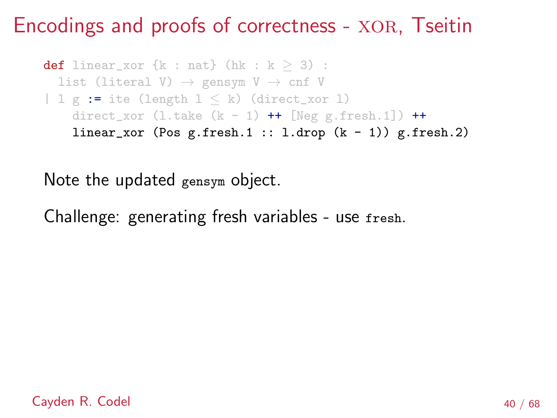```
def linear_xor \{k : nat\} (hk : k \geq 3) :
  list (literal V) \rightarrow gensym V \rightarrow cnf V
| 1 g := ite (length 1 \le k) (direct_xor 1)
    direct_xor (l.\text{take } (k - 1) ++ [Neg g.fresh.1]) ++
    linear_xor (Pos g.fresh.1 :: l.drop (k - 1)) g.fresh.2)
```
Note the updated gensym object.

Challenge: generating fresh variables - use fresh.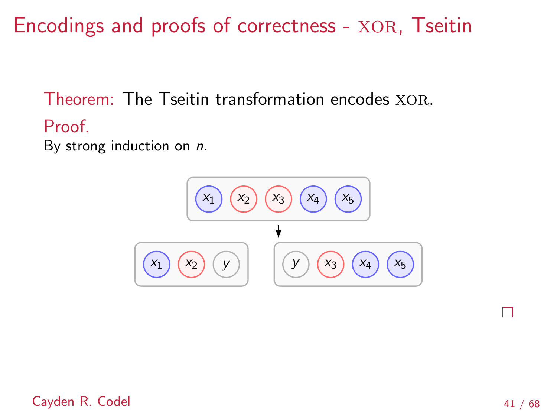Theorem: The Tseitin transformation encodes XOR.

Proof.

By strong induction on n.



Cayden R. Codel **41** / 68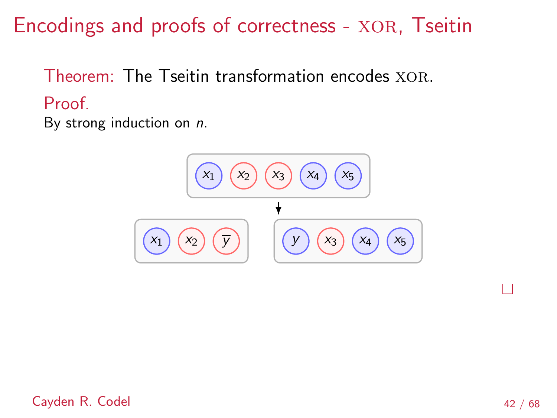Theorem: The Tseitin transformation encodes XOR. Proof.

By strong induction on n.



I.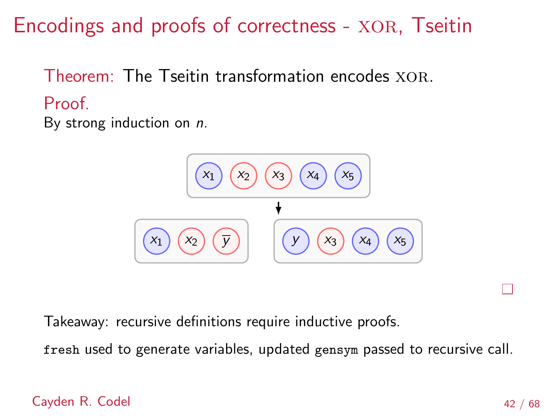Theorem: The Tseitin transformation encodes XOR. Proof.

By strong induction on n.



Takeaway: recursive definitions require inductive proofs.

fresh used to generate variables, updated gensym passed to recursive call.

Cayden R. Codel **42** / 68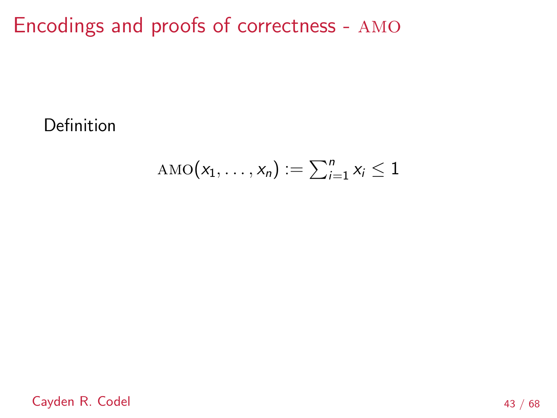Encodings and proofs of correctness - amo

Definition

$$
AMO(x_1,\ldots,x_n):=\sum_{i=1}^n x_i\leq 1
$$

Cayden R. Codel 43 / 68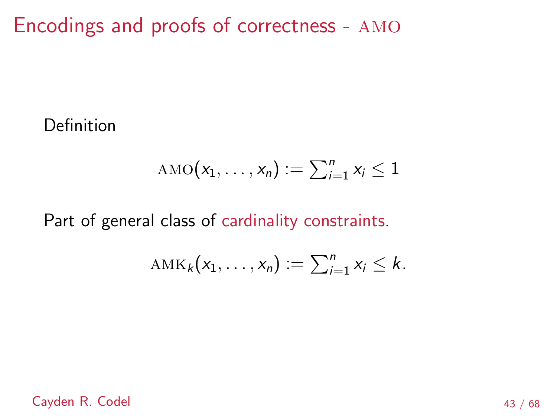Encodings and proofs of correctness - amo

Definition

$$
AMO(x_1,\ldots,x_n):=\sum_{i=1}^n x_i\leq 1
$$

Part of general class of cardinality constraints.

$$
\mathrm{AMK}_k(x_1,\ldots,x_n):=\sum_{i=1}^n x_i\leq k.
$$

Cayden R. Codel 43 / 68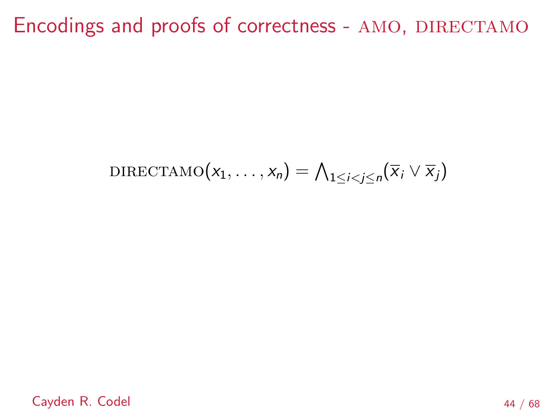$$
\text{DIRECTAMO}(x_1,\ldots,x_n)=\bigwedge\nolimits_{1\le i
$$

Cayden R. Codel 44 / 68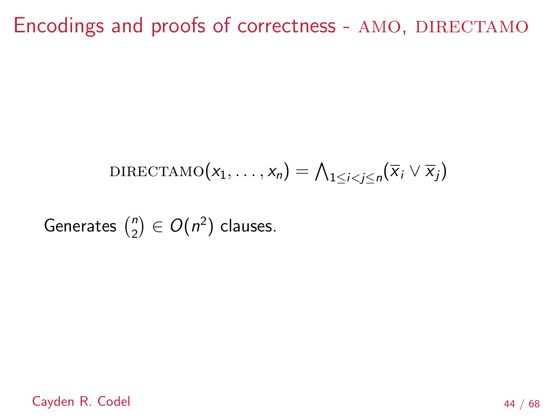$$
\text{DIRECTAMO}(x_1,\ldots,x_n)=\bigwedge_{1\leq i
$$

Generates  $\binom{n}{2}$  $\binom{n}{2} \in O(n^2)$  clauses.

Cayden R. Codel 44 / 68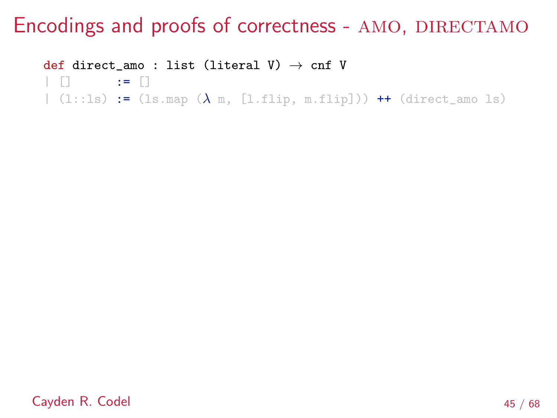def direct\_amo : list (literal V)  $\rightarrow$  cnf V

 $\parallel$   $\parallel$   $\parallel$   $\parallel$   $\parallel$   $\parallel$   $\parallel$   $\parallel$ 

|  $(1::ls) := (lsmap ( $\lambda$  m, [l.flip, m.flip]))++ (direct_amo ls)$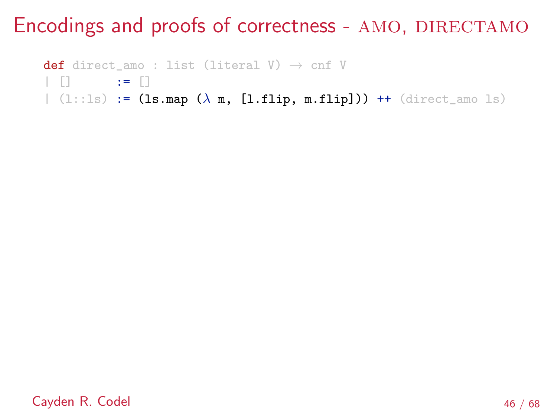def direct\_amo : list (literal V)  $\rightarrow$  cnf V

 $\Box$   $:=$   $\Box$ 

|  $(1::ls) := (lsmap (\lambda m, [l-flip, m-flip])) + (direct_name ls)$ 

Cayden R. Codel 46 / 68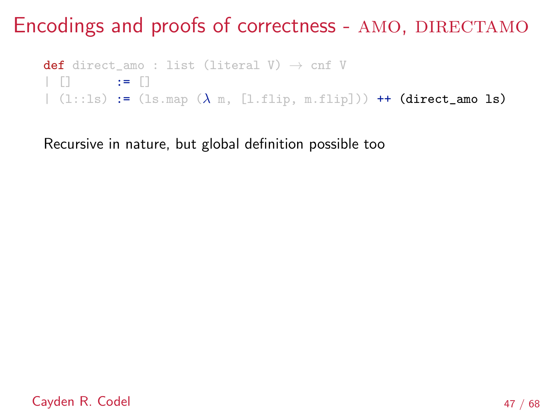def direct\_amo : list (literal V)  $\rightarrow$  cnf V  $\Box$   $:=$   $\Box$ |  $(1::ls) := (lsmap (\lambda m, [l.flip, m.flip])) + (direct_name ls)$ 

Recursive in nature, but global definition possible too

Cayden R. Codel 47 / 68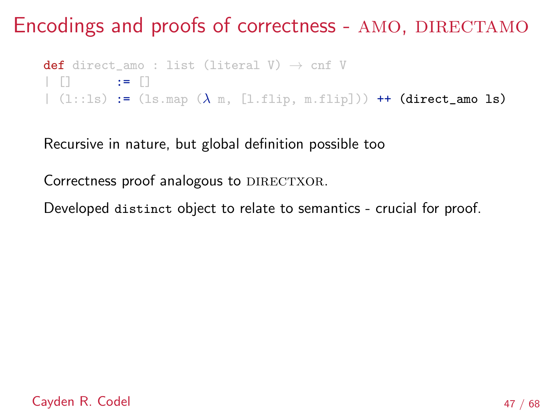def direct\_amo : list (literal V)  $\rightarrow$  cnf V  $\Box$   $\Box$   $\Box$  $|(1::ls)| := (lsmap (\lambda m, [1.fitip, m.fitip])) + (direct_amo ls)$ 

Recursive in nature, but global definition possible too

Correctness proof analogous to DIRECTXOR.

Developed distinct object to relate to semantics - crucial for proof.

Cayden R. Codel 47 / 68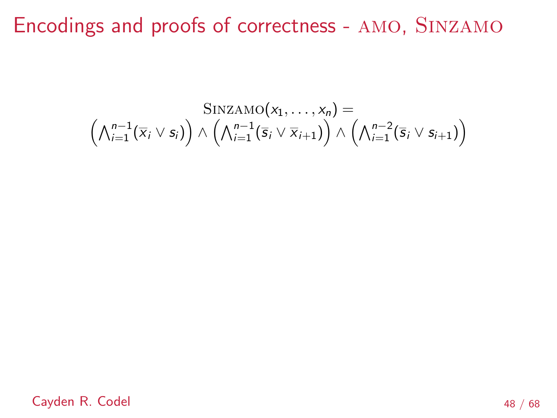$$
\mathrm{SINZAMO}(x_1,\ldots,x_n) = \\ \left(\bigwedge_{i=1}^{n-1} (\overline{x}_i \vee s_i)\right) \wedge \left(\bigwedge_{i=1}^{n-1} (\overline{s}_i \vee \overline{x}_{i+1})\right) \wedge \left(\bigwedge_{i=1}^{n-2} (\overline{s}_i \vee s_{i+1})\right)
$$

Cayden R. Codel 48 / 68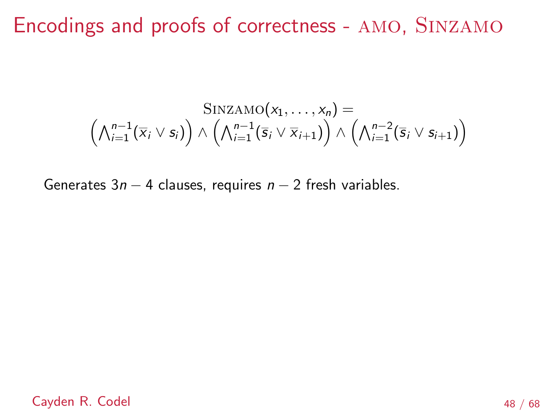$$
\mathrm{SINZAMO}(x_1,\ldots,x_n) = \\ \left(\bigwedge_{i=1}^{n-1} (\overline{x}_i \vee s_i) \right) \wedge \left(\bigwedge_{i=1}^{n-1} (\overline{s}_i \vee \overline{x}_{i+1}) \right) \wedge \left(\bigwedge_{i=1}^{n-2} (\overline{s}_i \vee s_{i+1}) \right)
$$

Generates  $3n - 4$  clauses, requires  $n - 2$  fresh variables.

Cayden R. Codel 48 / 68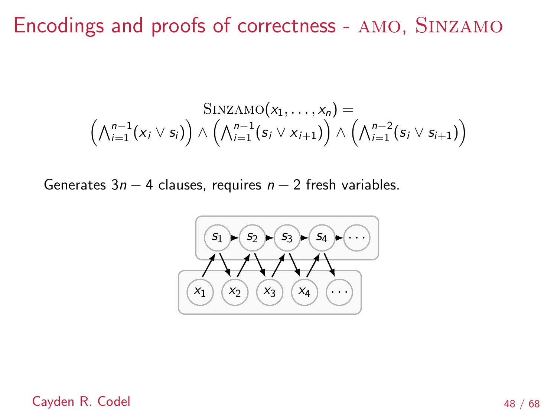$$
\mathrm{SINZAMO}(x_1,\ldots,x_n) = \\ \left(\bigwedge_{i=1}^{n-1} (\overline{x}_i \vee s_i) \right) \wedge \left(\bigwedge_{i=1}^{n-1} (\overline{s}_i \vee \overline{x}_{i+1}) \right) \wedge \left(\bigwedge_{i=1}^{n-2} (\overline{s}_i \vee s_{i+1}) \right)
$$

Generates  $3n - 4$  clauses, requires  $n - 2$  fresh variables.



Cayden R. Codel 48 / 68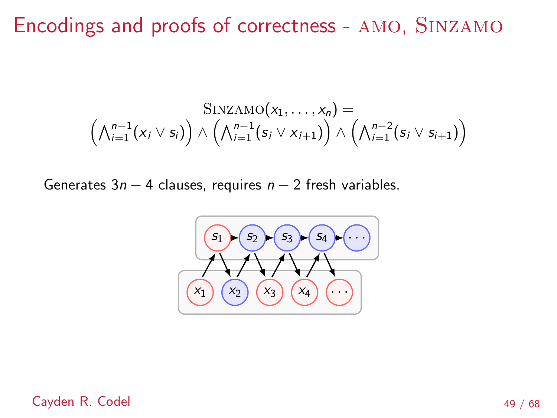$$
\mathrm{SINZAMO}(x_1,\ldots,x_n) = \\ \left(\bigwedge_{i=1}^{n-1} (\overline{x}_i \vee s_i) \right) \wedge \left(\bigwedge_{i=1}^{n-1} (\overline{s}_i \vee \overline{x}_{i+1}) \right) \wedge \left(\bigwedge_{i=1}^{n-2} (\overline{s}_i \vee s_{i+1}) \right)
$$

Generates  $3n - 4$  clauses, requires  $n - 2$  fresh variables.



Cayden R. Codel **49** / 68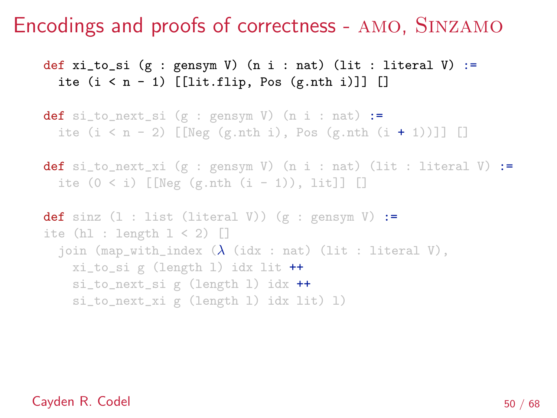def xi\_to\_si (g : gensym V) (n i : nat) (lit : literal V) := ite  $(i \leq n - 1)$  [[lit.flip, Pos  $(g.nth i)$ ]] []

def si\_to\_next\_si  $(g : gensym V)$   $(n i : nat) :=$ ite  $(i < n - 2)$  [[Neg (g.nth i), Pos (g.nth  $(i + 1)$ ]] []

```
def si_to_next_xi (g : gensym V) (n i : nat) (lit : literal V) :=
 ite (0 < i) [[Neg (g.nth (i - 1)), lit]] []
```

```
def sinz (1 : list (literal V)) (g : genus W) :=ite (hl : length 1 < 2) \Boxjoin (map_with_index (\lambda (idx : nat) (lit : literal V),
   xi_to_si g (length l) idx lit ++
   si_to_next_si g (length l) idx ++
   si_to_next_xi g (length l) idx lit) l)
```
### Cayden R. Codel 50 / 68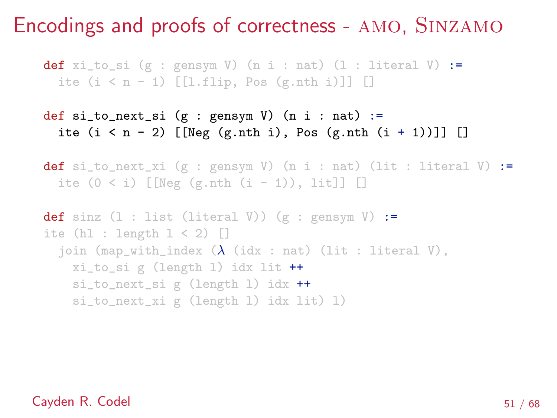**def**  $xi_t$  to\_si (g : gensym V) (n i : nat) (l : literal V) := ite  $(i \leq n - 1)$  [[l.flip, Pos  $(g.nth i)$ ]] []

```
def si_to_next_si (g : gensym V) (n i : nat) :=ite (i < n - 2) [[Neg (g.nth i), Pos (g.nth (i + 1)]] []
```

```
def si_to_next_xi (g : gensym V) (n i : nat) (lit : literal V) :=
 ite (0 < i) [[Neg (g.nth (i - 1)), lit]] []
```

```
def sinz (1 : list (literal V)) (g : genus W) :=ite (hl : length 1 < 2) \Boxjoin (map_with_index (\lambda (idx : nat) (lit : literal V),
   xi_to_si g (length l) idx lit ++
   si_to_next_si g (length l) idx ++
   si_to_next_xi g (length l) idx lit) l)
```
#### Cayden R. Codel 51 / 68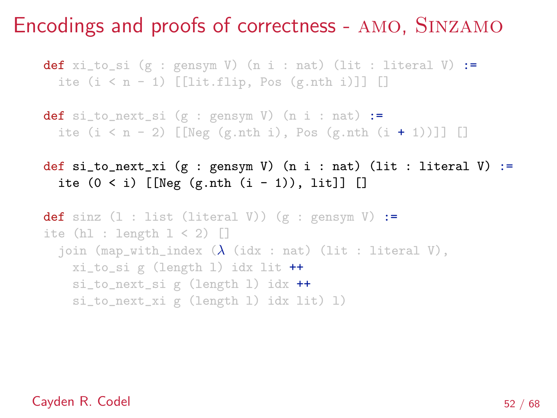**def** xi\_to\_si (g : gensym V) (n i : nat) (lit : literal V) := ite  $(i \leq n - 1)$  [[lit.flip, Pos  $(g.nth i)$ ]] []

def si\_to\_next\_si  $(g : gensym V)$   $(n i : nat) :=$ ite  $(i < n - 2)$  [[Neg (g.nth i), Pos (g.nth  $(i + 1)$ ]] []

def si\_to\_next\_xi (g : gensym V) (n i : nat) (lit : literal V) := ite  $(0 < i)$  [[Neg  $(g.nth (i - 1))$ , lit]] []

def sinz  $(1 : list (literal V)) (g : genus W) :=$ ite (hl : length  $1 < 2$ )  $\Box$ join (map\_with\_index  $(\lambda$  (idx : nat) (lit : literal V), xi\_to\_si g (length l) idx lit ++ si\_to\_next\_si g (length l) idx ++ si\_to\_next\_xi g (length l) idx lit) l)

#### Cayden R. Codel 52 / 68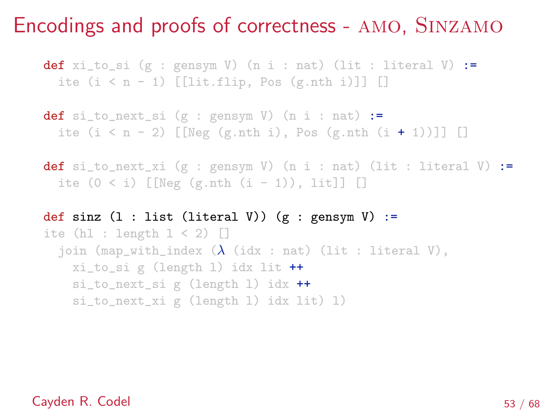**def** xi\_to\_si (g : gensym V) (n i : nat) (lit : literal V) := ite  $(i \leq n - 1)$  [[lit.flip, Pos  $(g.nth i)$ ]] []

def si\_to\_next\_si  $(g : gensym V)$   $(n i : nat) :=$ ite  $(i \le n - 2)$  [[Neg (g.nth i), Pos (g.nth  $(i + 1)$ ]] []

**def** si\_to\_next\_xi (g : gensym V) (n i : nat) (lit : literal V) := ite  $(0 < i)$  [[Neg  $(g.nth (i - 1))$ , lit]] []

def sinz  $(1 : list (literal V)) (g : genus W) :=$ ite  $(h1 : length 1 < 2)$ join (map\_with\_index  $(\lambda$  (idx : nat) (lit : literal V), xi\_to\_si g (length l) idx lit ++ si\_to\_next\_si g (length l) idx ++ si\_to\_next\_xi g (length l) idx lit) l)

#### Cayden R. Codel 53 / 68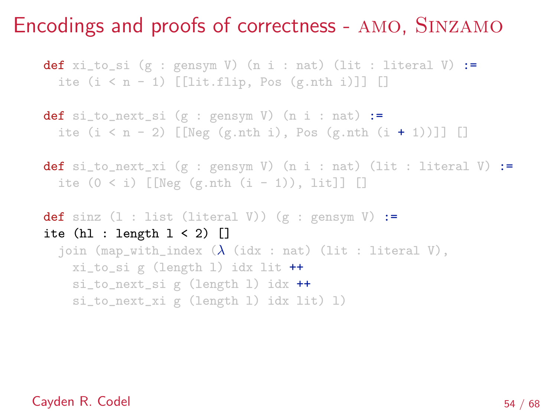**def** xi\_to\_si (g : gensym V) (n i : nat) (lit : literal V) := ite  $(i \leq n - 1)$  [[lit.flip, Pos  $(g.nth i)$ ]] []

def si\_to\_next\_si  $(g : gensym V)$   $(n i : nat) :=$ ite  $(i \le n - 2)$  [[Neg  $(g.nth i)$ , Pos  $(g.nth (i + 1))$ ]] []

```
def si_to_next_xi (g : gensym V) (n i : nat) (lit : literal V) :=
 ite (0 < i) [[Neg (g.nth (i - 1)), lit]] []
```

```
def sinz (1 : list (literal V)) (g : genus W) :=ite (hl : length 1 < 2) []
  join (map_with_index (\lambda (idx : nat) (lit : literal V),
   xi_to_si g (length l) idx lit ++
   si_to_next_si g (length l) idx ++
   si_to_next_xi g (length l) idx lit) l)
```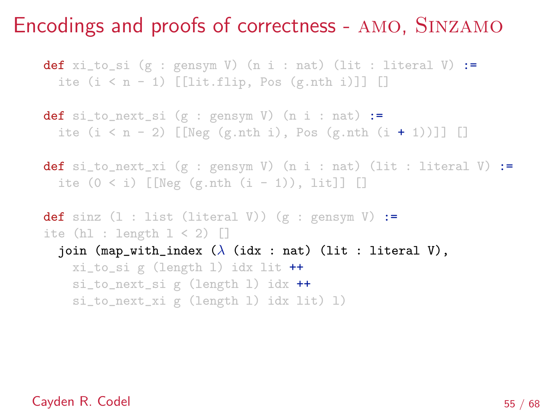**def** xi\_to\_si (g : gensym V) (n i : nat) (lit : literal V) := ite  $(i \leq n - 1)$  [[lit.flip, Pos  $(g.nth i)$ ]] []

def si\_to\_next\_si  $(g : gensym V)$   $(n i : nat) :=$ ite  $(i \le n - 2)$  [[Neg (g.nth i), Pos (g.nth  $(i + 1)$ ]] []

**def** si\_to\_next\_xi (g : gensym V) (n i : nat) (lit : literal V) := ite  $(0 < i)$  [[Neg  $(g.nth (i - 1))$ , lit]] []

def sinz  $(1 : list (literal V)) (g : genus W) :=$ ite  $(h1 : length 1 < 2)$ join (map\_with\_index  $(\lambda$  (idx : nat) (lit : literal V), xi\_to\_si g (length l) idx lit ++ si\_to\_next\_si g (length l) idx ++ si\_to\_next\_xi g (length l) idx lit) l)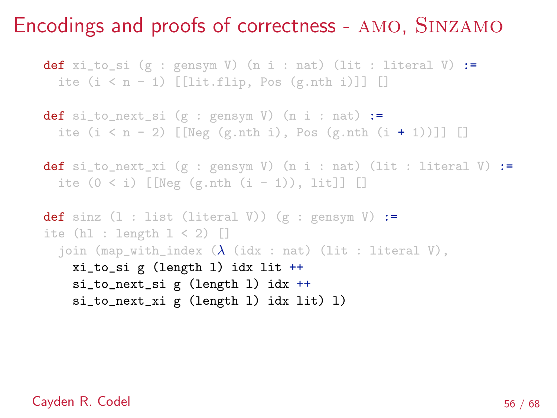**def** xi\_to\_si (g : gensym V) (n i : nat) (lit : literal V) := ite  $(i \leq n - 1)$  [[lit.flip, Pos  $(g.nth i)$ ]] []

def si\_to\_next\_si  $(g : gensym V)$   $(n i : nat) :=$ ite  $(i \le n - 2)$  [[Neg (g.nth i), Pos (g.nth  $(i + 1)$ ]] []

```
def si_to_next_xi (g : gensym V) (n i : nat) (lit : literal V) :=
 ite (0 < i) [[Neg (g.nth (i - 1)), lit]] []
```

```
def sinz (1 : list (literal V)) (g : genus W) :=ite (h1 : length 1 < 2)join (map_with_index (\lambda (idx : nat) (lit : literal V),
    xi_to_si g (length l) idx lit ++
    si_to_next_si g (length l) idx ++
    si_to_next_xi g (length l) idx lit) l)
```
### Cayden R. Codel 56 / 68 and 56 / 68 and 56 / 68 and 56 / 68 and 56 / 68 and 56 / 68 and 56 / 68 and 56 / 68 and 56 / 68 and 56 / 68 and 56 / 68 and 56 / 68 and 56 / 68 and 56 / 56  $\pm$  56 / 68 and 56  $\pm$  56 / 68 and 56  $\$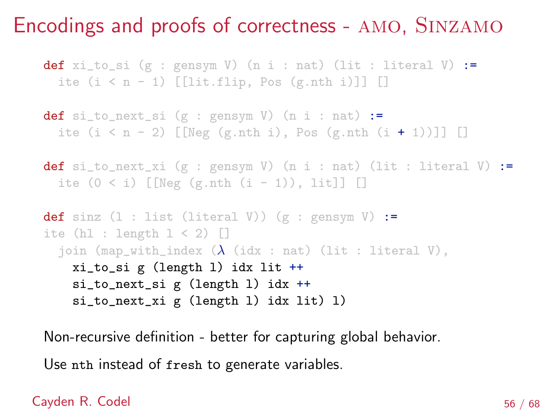**def** xi\_to\_si (g : gensym V) (n i : nat) (lit : literal V) := ite  $(i \leq n - 1)$  [[lit.flip, Pos  $(g.nth i)$ ]] []

def si\_to\_next\_si  $(g : gensym V)$   $(n i : nat) :=$ ite  $(i < n - 2)$  [[Neg (g.nth i), Pos (g.nth  $(i + 1)$ ]] []

```
def si_to_next_xi (g : gensym V) (n i : nat) (lit : literal V) :=
 ite (0 < i) [[Neg (g.nth (i - 1)), lit]] []
```

```
def sinz (1 : list (literal V)) (g : genus W) :=ite (h1 : length 1 < 2)join (map_with_index (\lambda (idx : nat) (lit : literal V),
    xi_to_si g (length l) idx lit ++
    si_to_next_si g (length l) idx ++
    si_to_next_xi g (length l) idx lit) l)
```
Non-recursive definition - better for capturing global behavior.

Use nth instead of fresh to generate variables.

### Cayden R. Codel 56 / 68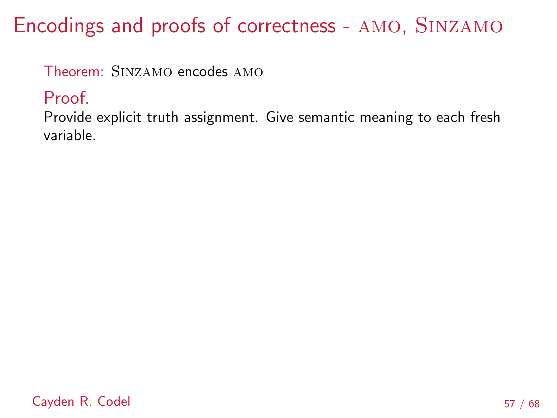Theorem: Sinzamo encodes amo

Proof.

Provide explicit truth assignment. Give semantic meaning to each fresh variable.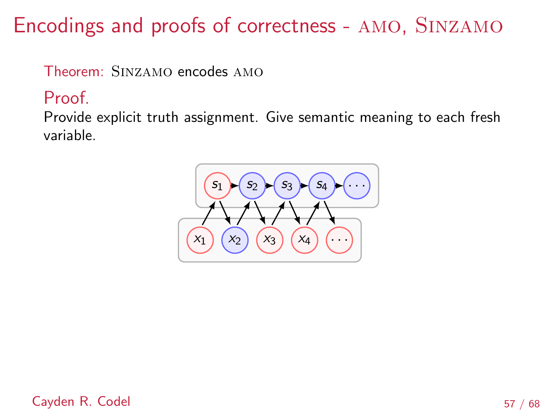Theorem: Sinzamo encodes amo

### Proof.

Provide explicit truth assignment. Give semantic meaning to each fresh variable.

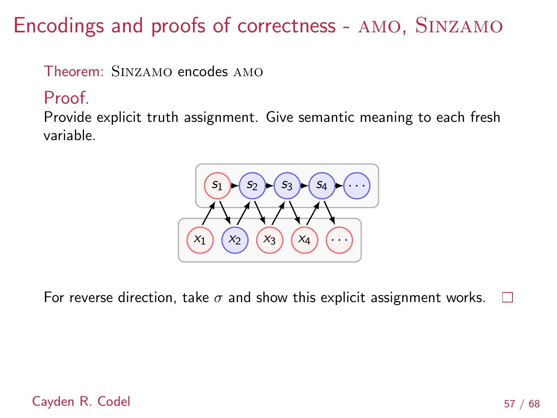Theorem: Sinzamo encodes amo

### Proof.

Provide explicit truth assignment. Give semantic meaning to each fresh variable.



For reverse direction, take  $\sigma$  and show this explicit assignment works.  $\Box$ 

### Cayden R. Codel 57 / 68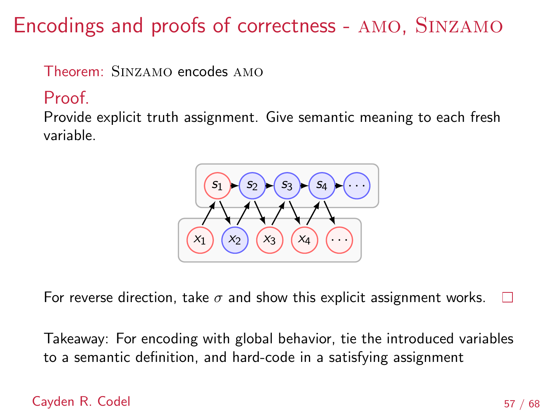Theorem: Sinzamo encodes amo

### Proof.

Provide explicit truth assignment. Give semantic meaning to each fresh variable.



For reverse direction, take  $\sigma$  and show this explicit assignment works.  $\Box$ 

Takeaway: For encoding with global behavior, tie the introduced variables to a semantic definition, and hard-code in a satisfying assignment

### Cayden R. Codel 57 / 68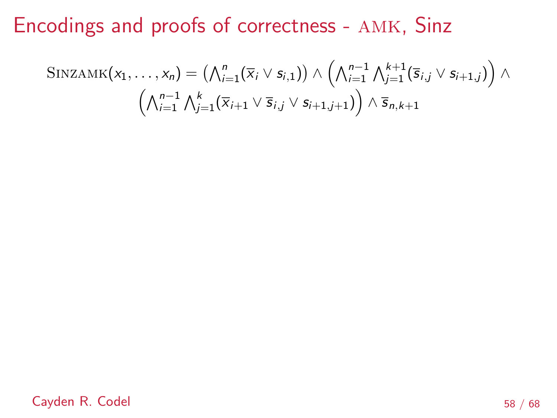$$
\text{SINZAMK}(x_1,\ldots,x_n) = \left(\bigwedge_{i=1}^n (\overline{x}_i \vee s_{i,1})\right) \wedge \left(\bigwedge_{i=1}^{n-1} \bigwedge_{j=1}^{k+1} (\overline{s}_{i,j} \vee s_{i+1,j})\right) \wedge \left(\bigwedge_{i=1}^{n-1} \bigwedge_{j=1}^k (\overline{x}_{i+1} \vee \overline{s}_{i,j} \vee s_{i+1,j+1})\right) \wedge \overline{s}_{n,k+1}
$$

Cayden R. Codel 58 / 68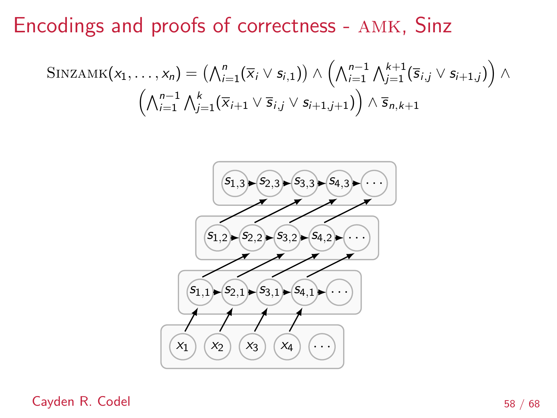$$
\mathrm{SINZAMK}(x_1,\ldots,x_n) = \left(\bigwedge_{i=1}^n (\overline{x}_i \vee s_{i,1})\right) \wedge \left(\bigwedge_{i=1}^{n-1} \bigwedge_{j=1}^{k+1} (\overline{s}_{i,j} \vee s_{i+1,j})\right) \wedge \left(\bigwedge_{i=1}^{n-1} \bigwedge_{j=1}^k (\overline{x}_{i+1} \vee \overline{s}_{i,j} \vee s_{i+1,j+1})\right) \wedge \overline{s}_{n,k+1}
$$



Cayden R. Codel 58 / 68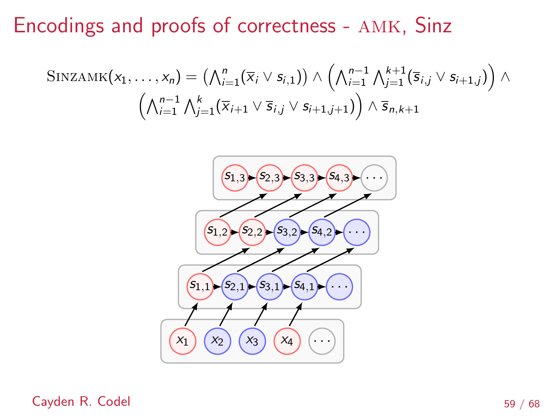$$
\text{SINZAMK}(x_1,\ldots,x_n) = \left(\bigwedge_{i=1}^n (\overline{x}_i \vee s_{i,1})\right) \wedge \left(\bigwedge_{i=1}^{n-1} \bigwedge_{j=1}^{k+1} (\overline{s}_{i,j} \vee s_{i+1,j})\right) \wedge \left(\bigwedge_{i=1}^{n-1} \bigwedge_{j=1}^k (\overline{x}_{i+1} \vee \overline{s}_{i,j} \vee s_{i+1,j+1})\right) \wedge \overline{s}_{n,k+1}
$$



Cayden R. Codel 59 / 68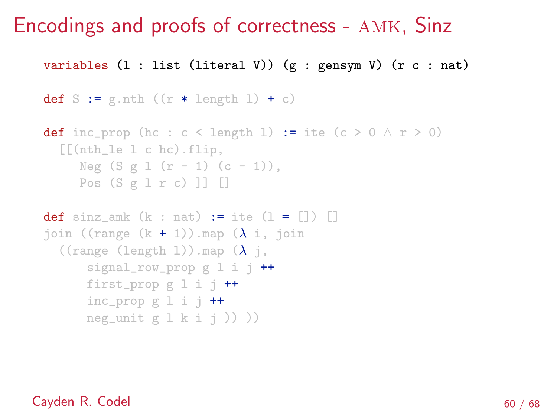variables (l : list (literal V)) (g : gensym V) (r c : nat)

```
def S := g.nth ((r * length 1) + c)
```

```
def inc_prop (hc : c < length 1) := ite (c > 0 \land r > 0)
  [[(nth_le l c hc).flip,
     Neg (S g 1 (r - 1) (c - 1)),Pos (S g l r c) ]] []
```

```
def sinz amk (k : nat) := ite (1 = [] ) []
join ((range (k + 1)).map (\lambda i, i)((range (length 1)).map (\lambda j,
      signal_row_prop g l i j +first_prop g 1 i j +inc_prop g \perp i j ++
      neg_unit g \, 1 \, k \, i \, j )) ))
```
### Cayden R. Codel 60 / 68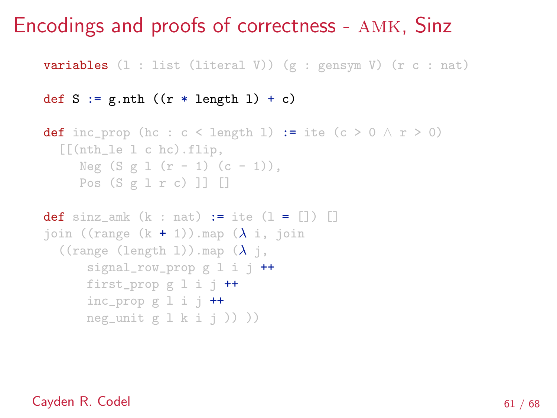**variables**  $(1 : list (literal V)) (g : genus V) (r c : nat)$ 

```
def S := g.nth ((r * length 1) + c)
```

```
def inc_prop (hc : c < length 1) := ite (c > 0 \land r > 0)
  [[(\text{nth}\_le 1 \ c \ \text{hc}) \cdot \text{flip},Neg (S g 1 (r - 1) (c - 1)),Pos (S g l r c) ]] []
```

```
def sinz amk (k : nat) := ite (1 = [] ) []
join ((range (k + 1)).map (\lambda i, i)((range (length 1)).map (\lambda j,
      signal_row_prop g l i j +first_prop g 1 i j +inc_prop g \perp i j ++
      neg_unit g \, 1 \, k \, i \, j )) ))
```
#### Cayden R. Codel 61 / 68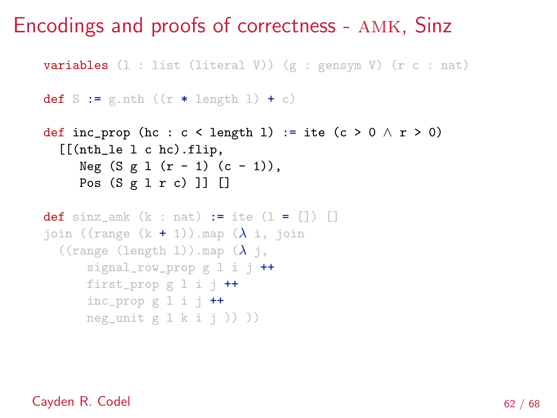**variables**  $(1 : list (literal V)) (g : genus V) (r c : nat)$ 

```
def S := g.nth ((r * length 1) + c)
```

```
def inc_prop (hc : c < length 1) := ite (c > 0 \land r > 0)
  [[(\text{nth}\_1\text{e}\_1\ \text{c}\ \text{hc})\,.flip,
      Neg (S g 1 (r - 1) (c - 1)),Pos (S g l r c) ]] []
```

```
def sinz amk (k : nat) := ite (1 = [] ) []
join ((range (k + 1)).map (\lambda i, i)((range (length 1)).map (\lambda j,
      signal_row_prop g l i j +first_prop g 1 i j +inc_prop g \perp i j ++
      neg_unit g \, 1 \, k \, i \, j )) ))
```
### Cayden R. Codel 62 / 68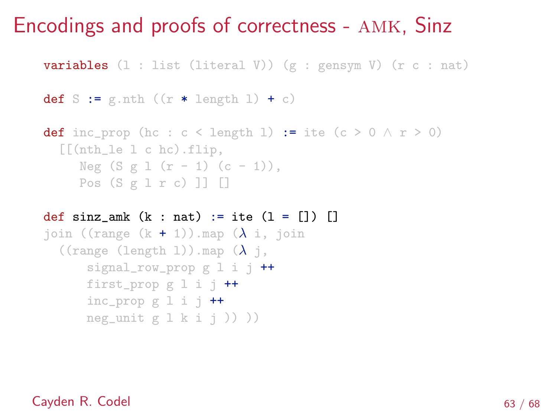**variables**  $(1 : list (literal V)) (g : genus V) (r c : nat)$ 

```
def S := g.nth ((r * length 1) + c)
```

```
def inc_prop (hc : c < length 1) := ite (c > 0 \land r > 0)
  [[(\text{nth}\_le 1 \ c \ \text{hc}) \cdot \text{flip},Neg (S g 1 (r - 1) (c - 1)),Pos (S g l r c) ]] []
```

```
def sinz amk (k : nat) := ite (1 = [] )join ((range (k + 1)).map (\lambda i, i)((range (length 1)).map (\lambda j,
      signal_row_prop g l i j +first_prop g 1 i j +inc_prop g \perp i j ++
      neg_unit g \, 1 \, k \, i \, j )) ))
```
#### Cayden R. Codel 63 / 68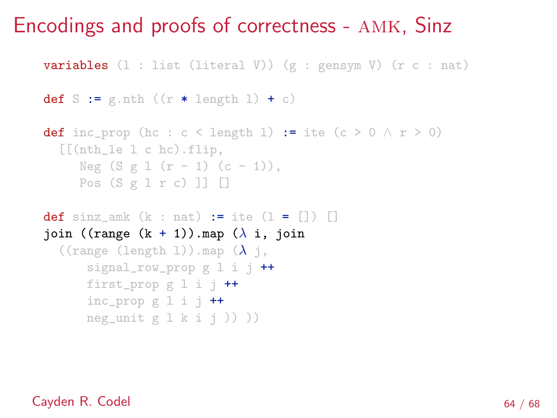**variables**  $(1 : list (literal V)) (g : genus V) (r c : nat)$ 

```
def S := g.nth ((r * length 1) + c)
```

```
def inc_prop (hc : c < length 1) := ite (c > 0 \land r > 0)
  [[(\text{nth}\_le 1 \ c \ \text{hc}) \cdot \text{flip},Neg (S g 1 (r - 1) (c - 1)),Pos (S g l r c) ]] []
```

```
def sinz amk (k : nat) := ite (1 = [] )join ((range (k + 1)).map (\lambda i, j \text{oin})((range (length 1)).map (\lambda j,
       signal_row_prop g l i j +first_prop g 1 i j +inc_prop g \perp i j ++
      neg_unit g \, 1 \, k \, i \, j )) ))
```
#### Cayden R. Codel 64 / 68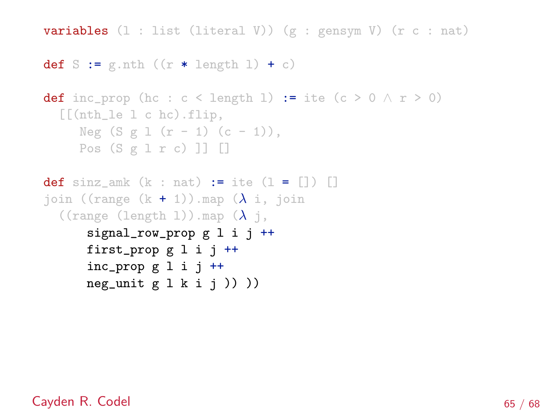**variables**  $(1 : list (literal V)) (g : genus V) (r c : nat)$ 

```
def S := g.nth ((r * length 1) + c)
```

```
def inc_prop (hc : c < length 1) := ite (c > 0 \land r > 0)
  [[(nth_le l c hc).flip,
     Neg (S g 1 (r - 1) (c - 1)),Pos (S g l r c) ]] []
```

```
def sinz_amk (k : nat) := ite (1 = []join ((range (k + 1)).map (\lambda i, i)((range (length 1)).map (\lambda j,
      signal_row_prop g l i j ++
      first_prop g l i j ++
      inc_prop g l i j ++
      neg_unit g \, 1 \, k \, i \, j ) )
```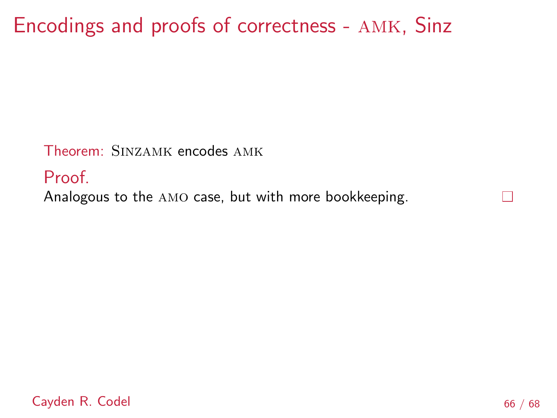Theorem: Sinzamk encodes amk

Proof.

Analogous to the amo case, but with more bookkeeping.

Cayden R. Codel 66 / 68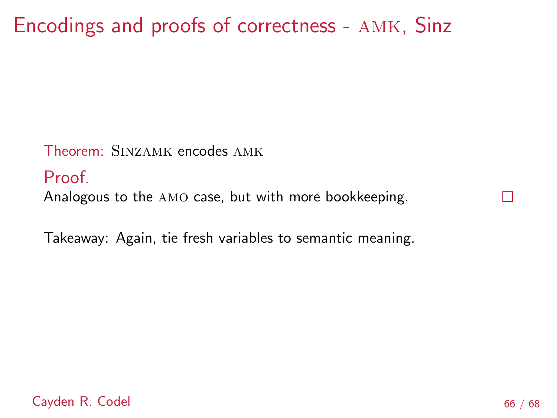Theorem: Sinzamk encodes amk

Proof.

Analogous to the amo case, but with more bookkeeping.

Takeaway: Again, tie fresh variables to semantic meaning.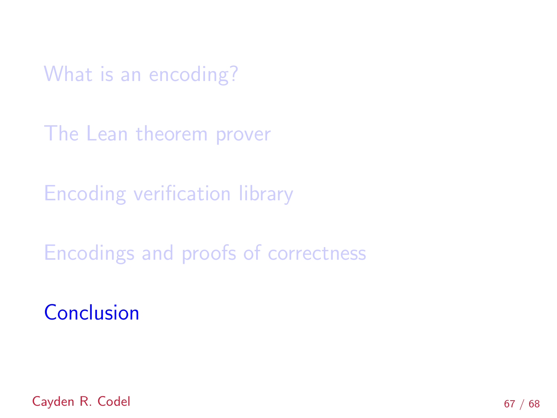<span id="page-103-0"></span>[What is an encoding?](#page-7-0)

[The Lean theorem prover](#page-20-0)

[Encoding verification library](#page-24-0)

[Encodings and proofs of correctness](#page-37-0)

**[Conclusion](#page-103-0)** 

Cayden R. Codel 67 / 68